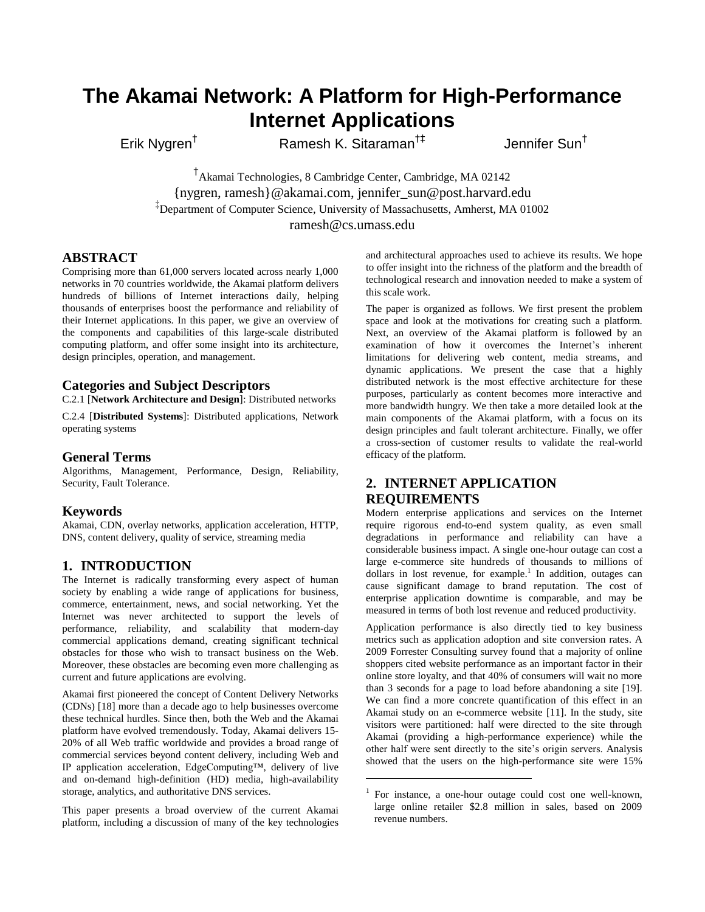# **The Akamai Network: A Platform for High-Performance Internet Applications**

Erik Nygren<sup>†</sup> Ramesh K. Sitaraman<sup>†‡</sup> Jennifer Sun<sup>†</sup>

† Akamai Technologies, 8 Cambridge Center, Cambridge, MA 02142 {nygren, ramesh}@akamai.com, jennifer\_sun@post.harvard.edu ‡ Department of Computer Science, University of Massachusetts, Amherst, MA 01002 ramesh@cs.umass.edu

 $\overline{a}$ 

#### **ABSTRACT**

Comprising more than 61,000 servers located across nearly 1,000 networks in 70 countries worldwide, the Akamai platform delivers hundreds of billions of Internet interactions daily, helping thousands of enterprises boost the performance and reliability of their Internet applications. In this paper, we give an overview of the components and capabilities of this large-scale distributed computing platform, and offer some insight into its architecture, design principles, operation, and management.

### **Categories and Subject Descriptors**

C.2.1 [**Network Architecture and Design**]: Distributed networks

C.2.4 [**Distributed Systems**]: Distributed applications, Network operating systems

#### **General Terms**

Algorithms, Management, Performance, Design, Reliability, Security, Fault Tolerance.

#### **Keywords**

Akamai, CDN, overlay networks, application acceleration, HTTP, DNS, content delivery, quality of service, streaming media

### **1. INTRODUCTION**

The Internet is radically transforming every aspect of human society by enabling a wide range of applications for business, commerce, entertainment, news, and social networking. Yet the Internet was never architected to support the levels of performance, reliability, and scalability that modern-day commercial applications demand, creating significant technical obstacles for those who wish to transact business on the Web. Moreover, these obstacles are becoming even more challenging as current and future applications are evolving.

Akamai first pioneered the concept of Content Delivery Networks (CDNs) [\[18\]](#page-16-0) more than a decade ago to help businesses overcome these technical hurdles. Since then, both the Web and the Akamai platform have evolved tremendously. Today, Akamai delivers 15- 20% of all Web traffic worldwide and provides a broad range of commercial services beyond content delivery, including Web and IP application acceleration, EdgeComputing™, delivery of live and on-demand high-definition (HD) media, high-availability storage, analytics, and authoritative DNS services.

This paper presents a broad overview of the current Akamai platform, including a discussion of many of the key technologies and architectural approaches used to achieve its results. We hope to offer insight into the richness of the platform and the breadth of technological research and innovation needed to make a system of this scale work.

The paper is organized as follows. We first present the problem space and look at the motivations for creating such a platform. Next, an overview of the Akamai platform is followed by an examination of how it overcomes the Internet's inherent limitations for delivering web content, media streams, and dynamic applications. We present the case that a highly distributed network is the most effective architecture for these purposes, particularly as content becomes more interactive and more bandwidth hungry. We then take a more detailed look at the main components of the Akamai platform, with a focus on its design principles and fault tolerant architecture. Finally, we offer a cross-section of customer results to validate the real-world efficacy of the platform.

# **2. INTERNET APPLICATION REQUIREMENTS**

Modern enterprise applications and services on the Internet require rigorous end-to-end system quality, as even small degradations in performance and reliability can have a considerable business impact. A single one-hour outage can cost a large e-commerce site hundreds of thousands to millions of dollars in lost revenue, for example.<sup>1</sup> In addition, outages can cause significant damage to brand reputation. The cost of enterprise application downtime is comparable, and may be measured in terms of both lost revenue and reduced productivity.

Application performance is also directly tied to key business metrics such as application adoption and site conversion rates. A 2009 Forrester Consulting survey found that a majority of online shoppers cited website performance as an important factor in their online store loyalty, and that 40% of consumers will wait no more than 3 seconds for a page to load before abandoning a site [\[19\].](#page-17-0) We can find a more concrete quantification of this effect in an Akamai study on an e-commerce website [\[11\].](#page-16-1) In the study, site visitors were partitioned: half were directed to the site through Akamai (providing a high-performance experience) while the other half were sent directly to the site's origin servers. Analysis showed that the users on the high-performance site were 15%

<sup>&</sup>lt;sup>1</sup> For instance, a one-hour outage could cost one well-known, large online retailer \$2.8 million in sales, based on 2009 revenue numbers.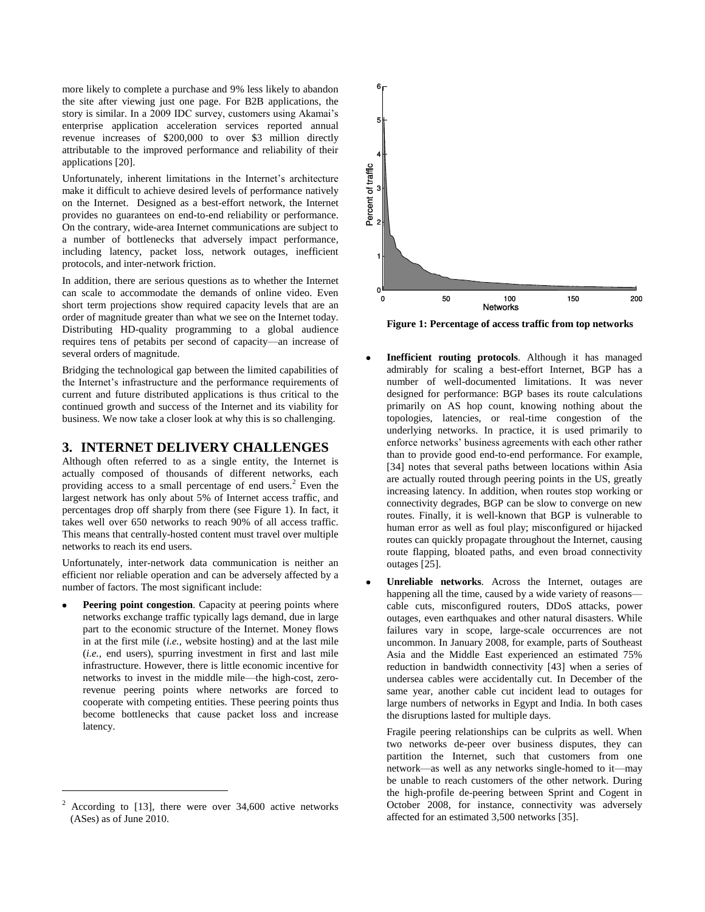more likely to complete a purchase and 9% less likely to abandon the site after viewing just one page. For B2B applications, the story is similar. In a 2009 IDC survey, customers using Akamai's enterprise application acceleration services reported annual revenue increases of \$200,000 to over \$3 million directly attributable to the improved performance and reliability of their applications [\[20\].](#page-17-1)

Unfortunately, inherent limitations in the Internet's architecture make it difficult to achieve desired levels of performance natively on the Internet. Designed as a best-effort network, the Internet provides no guarantees on end-to-end reliability or performance. On the contrary, wide-area Internet communications are subject to a number of bottlenecks that adversely impact performance, including latency, packet loss, network outages, inefficient protocols, and inter-network friction.

In addition, there are serious questions as to whether the Internet can scale to accommodate the demands of online video. Even short term projections show required capacity levels that are an order of magnitude greater than what we see on the Internet today. Distributing HD-quality programming to a global audience requires tens of petabits per second of capacity—an increase of several orders of magnitude.

Bridging the technological gap between the limited capabilities of the Internet's infrastructure and the performance requirements of current and future distributed applications is thus critical to the continued growth and success of the Internet and its viability for business. We now take a closer look at why this is so challenging.

#### <span id="page-1-1"></span>**3. INTERNET DELIVERY CHALLENGES**

Although often referred to as a single entity, the Internet is actually composed of thousands of different networks, each providing access to a small percentage of end users. $2$  Even the largest network has only about 5% of Internet access traffic, and percentages drop off sharply from there (see [Figure 1\)](#page-1-0). In fact, it takes well over 650 networks to reach 90% of all access traffic. This means that centrally-hosted content must travel over multiple networks to reach its end users.

Unfortunately, inter-network data communication is neither an efficient nor reliable operation and can be adversely affected by a number of factors. The most significant include:

**Peering point congestion**. Capacity at peering points where networks exchange traffic typically lags demand, due in large part to the economic structure of the Internet. Money flows in at the first mile (*i.e.,* website hosting) and at the last mile (*i.e.,* end users), spurring investment in first and last mile infrastructure. However, there is little economic incentive for networks to invest in the middle mile—the high-cost, zerorevenue peering points where networks are forced to cooperate with competing entities. These peering points thus become bottlenecks that cause packet loss and increase latency.

l



<span id="page-1-0"></span>**Figure 1: Percentage of access traffic from top networks**

- **Inefficient routing protocols**. Although it has managed admirably for scaling a best-effort Internet, BGP has a number of well-documented limitations. It was never designed for performance: BGP bases its route calculations primarily on AS hop count, knowing nothing about the topologies, latencies, or real-time congestion of the underlying networks. In practice, it is used primarily to enforce networks' business agreements with each other rather than to provide good end-to-end performance. For example, [\[34\]](#page-17-2) notes that several paths between locations within Asia are actually routed through peering points in the US, greatly increasing latency. In addition, when routes stop working or connectivity degrades, BGP can be slow to converge on new routes. Finally, it is well-known that BGP is vulnerable to human error as well as foul play; misconfigured or hijacked routes can quickly propagate throughout the Internet, causing route flapping, bloated paths, and even broad connectivity outages [\[25\].](#page-17-3)
- **Unreliable networks**. Across the Internet, outages are happening all the time, caused by a wide variety of reasons cable cuts, misconfigured routers, DDoS attacks, power outages, even earthquakes and other natural disasters. While failures vary in scope, large-scale occurrences are not uncommon. In January 2008, for example, parts of Southeast Asia and the Middle East experienced an estimated 75% reduction in bandwidth connectivity [\[43\]](#page-17-4) when a series of undersea cables were accidentally cut. In December of the same year, another cable cut incident lead to outages for large numbers of networks in Egypt and India. In both cases the disruptions lasted for multiple days.

Fragile peering relationships can be culprits as well. When two networks de-peer over business disputes, they can partition the Internet, such that customers from one network—as well as any networks single-homed to it—may be unable to reach customers of the other network. During the high-profile de-peering between Sprint and Cogent in October 2008, for instance, connectivity was adversely affected for an estimated 3,500 networks [\[35\].](#page-17-5)

<sup>2</sup> According to [\[13\],](#page-16-2) there were over 34,600 active networks (ASes) as of June 2010.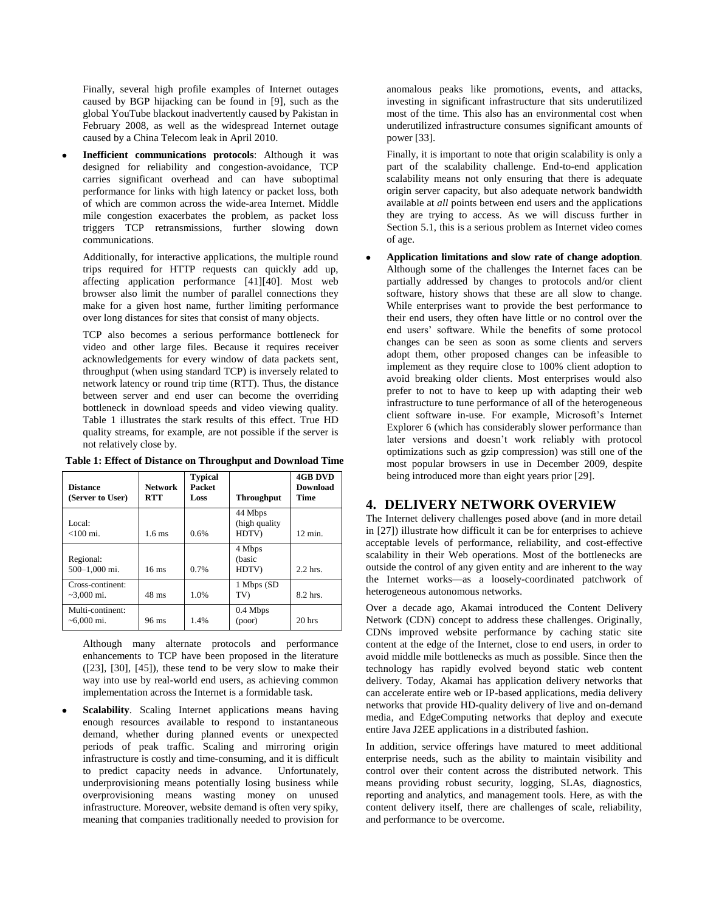Finally, several high profile examples of Internet outages caused by BGP hijacking can be found in [\[9\],](#page-16-3) such as the global YouTube blackout inadvertently caused by Pakistan in February 2008, as well as the widespread Internet outage caused by a China Telecom leak in April 2010.

**Inefficient communications protocols**: Although it was designed for reliability and congestion-avoidance, TCP carries significant overhead and can have suboptimal performance for links with high latency or packet loss, both of which are common across the wide-area Internet. Middle mile congestion exacerbates the problem, as packet loss triggers TCP retransmissions, further slowing down communications.

Additionally, for interactive applications, the multiple round trips required for HTTP requests can quickly add up, affecting application performance [\[41\]\[40\]](#page-17-6). Most web browser also limit the number of parallel connections they make for a given host name, further limiting performance over long distances for sites that consist of many objects.

TCP also becomes a serious performance bottleneck for video and other large files. Because it requires receiver acknowledgements for every window of data packets sent, throughput (when using standard TCP) is inversely related to network latency or round trip time (RTT). Thus, the distance between server and end user can become the overriding bottleneck in download speeds and video viewing quality. [Table 1](#page-2-0) illustrates the stark results of this effect. True HD quality streams, for example, are not possible if the server is not relatively close by.

<span id="page-2-0"></span>

| <b>Distance</b><br>(Server to User)          | <b>Network</b><br><b>RTT</b> | <b>Typical</b><br><b>Packet</b><br>Loss | <b>Throughput</b>                  | <b>4GB DVD</b><br>Download<br>Time |
|----------------------------------------------|------------------------------|-----------------------------------------|------------------------------------|------------------------------------|
| Local:<br>$< 100 \text{ mi}$ .               | $1.6 \text{ ms}$             | 0.6%                                    | 44 Mbps<br>(high quality)<br>HDTV) | $12 \text{ min.}$                  |
| Regional:<br>500-1.000 mi.                   | $16 \text{ ms}$              | 0.7%                                    | 4 Mbps<br>(basic<br>HDTV)          | $2.2$ hrs.                         |
| Cross-continent:<br>$\sim$ 3.000 mi.         | 48 ms                        | 1.0%                                    | 1 Mbps (SD)<br>TV)                 | 8.2 hrs.                           |
| Multi-continent:<br>$\sim 6.000 \text{ mi.}$ | 96 ms                        | 1.4%                                    | $0.4$ Mbps<br>(poor)               | 20 <sub>hrs</sub>                  |

Although many alternate protocols and performance enhancements to TCP have been proposed in the literature  $([23], [30], [45])$  $([23], [30], [45])$  $([23], [30], [45])$  $([23], [30], [45])$ , these tend to be very slow to make their way into use by real-world end users, as achieving common implementation across the Internet is a formidable task.

**Scalability**. Scaling Internet applications means having enough resources available to respond to instantaneous demand, whether during planned events or unexpected periods of peak traffic. Scaling and mirroring origin infrastructure is costly and time-consuming, and it is difficult to predict capacity needs in advance. Unfortunately, underprovisioning means potentially losing business while overprovisioning means wasting money on unused infrastructure. Moreover, website demand is often very spiky, meaning that companies traditionally needed to provision for

anomalous peaks like promotions, events, and attacks, investing in significant infrastructure that sits underutilized most of the time. This also has an environmental cost when underutilized infrastructure consumes significant amounts of power [\[33\].](#page-17-10)

Finally, it is important to note that origin scalability is only a part of the scalability challenge. End-to-end application scalability means not only ensuring that there is adequate origin server capacity, but also adequate network bandwidth available at *all* points between end users and the applications they are trying to access. As we will discuss further in Section [5.1,](#page-5-0) this is a serious problem as Internet video comes of age.

**Application limitations and slow rate of change adoption**. Although some of the challenges the Internet faces can be partially addressed by changes to protocols and/or client software, history shows that these are all slow to change. While enterprises want to provide the best performance to their end users, they often have little or no control over the end users' software. While the benefits of some protocol changes can be seen as soon as some clients and servers adopt them, other proposed changes can be infeasible to implement as they require close to 100% client adoption to avoid breaking older clients. Most enterprises would also prefer to not to have to keep up with adapting their web infrastructure to tune performance of all of the heterogeneous client software in-use. For example, Microsoft's Internet Explorer 6 (which has considerably slower performance than later versions and doesn't work reliably with protocol optimizations such as gzip compression) was still one of the most popular browsers in use in December 2009, despite being introduced more than eight years prior [\[29\].](#page-17-11)

### **4. DELIVERY NETWORK OVERVIEW**

The Internet delivery challenges posed above (and in more detail in [\[27\]\)](#page-17-12) illustrate how difficult it can be for enterprises to achieve acceptable levels of performance, reliability, and cost-effective scalability in their Web operations. Most of the bottlenecks are outside the control of any given entity and are inherent to the way the Internet works—as a loosely-coordinated patchwork of heterogeneous autonomous networks.

Over a decade ago, Akamai introduced the Content Delivery Network (CDN) concept to address these challenges. Originally, CDNs improved website performance by caching static site content at the edge of the Internet, close to end users, in order to avoid middle mile bottlenecks as much as possible. Since then the technology has rapidly evolved beyond static web content delivery. Today, Akamai has application delivery networks that can accelerate entire web or IP-based applications, media delivery networks that provide HD-quality delivery of live and on-demand media, and EdgeComputing networks that deploy and execute entire Java J2EE applications in a distributed fashion.

In addition, service offerings have matured to meet additional enterprise needs, such as the ability to maintain visibility and control over their content across the distributed network. This means providing robust security, logging, SLAs, diagnostics, reporting and analytics, and management tools. Here, as with the content delivery itself, there are challenges of scale, reliability, and performance to be overcome.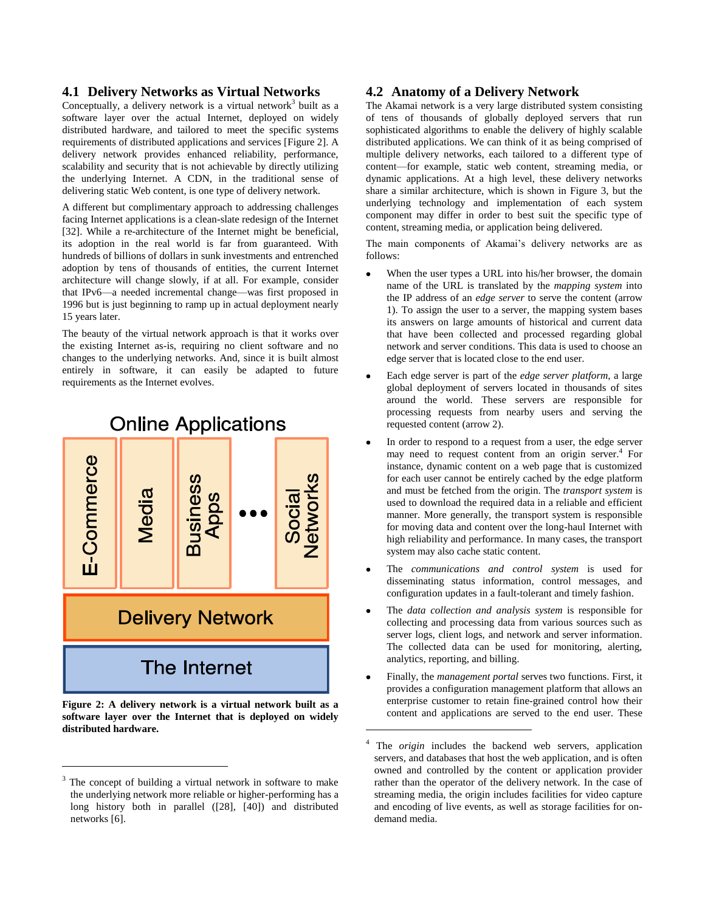#### **4.1 Delivery Networks as Virtual Networks**

Conceptually, a delivery network is a virtual network<sup>3</sup> built as a software layer over the actual Internet, deployed on widely distributed hardware, and tailored to meet the specific systems requirements of distributed applications and services [\[Figure 2\]](#page-3-0). A delivery network provides enhanced reliability, performance, scalability and security that is not achievable by directly utilizing the underlying Internet. A CDN, in the traditional sense of delivering static Web content, is one type of delivery network.

A different but complimentary approach to addressing challenges facing Internet applications is a clean-slate redesign of the Internet [\[32\].](#page-17-13) While a re-architecture of the Internet might be beneficial, its adoption in the real world is far from guaranteed. With hundreds of billions of dollars in sunk investments and entrenched adoption by tens of thousands of entities, the current Internet architecture will change slowly, if at all. For example, consider that IPv6—a needed incremental change—was first proposed in 1996 but is just beginning to ramp up in actual deployment nearly 15 years later.

The beauty of the virtual network approach is that it works over the existing Internet as-is, requiring no client software and no changes to the underlying networks. And, since it is built almost entirely in software, it can easily be adapted to future requirements as the Internet evolves.



#### <span id="page-3-0"></span>**Figure 2: A delivery network is a virtual network built as a software layer over the Internet that is deployed on widely distributed hardware.**

 $\overline{a}$ 

#### <span id="page-3-1"></span>**4.2 Anatomy of a Delivery Network**

The Akamai network is a very large distributed system consisting of tens of thousands of globally deployed servers that run sophisticated algorithms to enable the delivery of highly scalable distributed applications. We can think of it as being comprised of multiple delivery networks, each tailored to a different type of content—for example, static web content, streaming media, or dynamic applications. At a high level, these delivery networks share a similar architecture, which is shown in [Figure 3,](#page-4-0) but the underlying technology and implementation of each system component may differ in order to best suit the specific type of content, streaming media, or application being delivered.

The main components of Akamai's delivery networks are as follows:

- When the user types a URL into his/her browser, the domain name of the URL is translated by the *mapping system* into the IP address of an *edge server* to serve the content (arrow 1). To assign the user to a server, the mapping system bases its answers on large amounts of historical and current data that have been collected and processed regarding global network and server conditions. This data is used to choose an edge server that is located close to the end user.
- Each edge server is part of the *edge server platform*, a large global deployment of servers located in thousands of sites around the world. These servers are responsible for processing requests from nearby users and serving the requested content (arrow 2).
- In order to respond to a request from a user, the edge server may need to request content from an origin server.<sup>4</sup> For instance, dynamic content on a web page that is customized for each user cannot be entirely cached by the edge platform and must be fetched from the origin. The *transport system* is used to download the required data in a reliable and efficient manner. More generally, the transport system is responsible for moving data and content over the long-haul Internet with high reliability and performance. In many cases, the transport system may also cache static content.
- The *communications and control system* is used for disseminating status information, control messages, and configuration updates in a fault-tolerant and timely fashion.
- The *data collection and analysis system* is responsible for collecting and processing data from various sources such as server logs, client logs, and network and server information. The collected data can be used for monitoring, alerting, analytics, reporting, and billing.
- Finally, the *management portal* serves two functions. First, it provides a configuration management platform that allows an enterprise customer to retain fine-grained control how their content and applications are served to the end user. These

l

The concept of building a virtual network in software to make the underlying network more reliable or higher-performing has a long history both in parallel [\(\[28\],](#page-17-14) [\[40\]\)](#page-17-15) and distributed network[s \[6\].](#page-16-4)

The *origin* includes the backend web servers, application servers, and databases that host the web application, and is often owned and controlled by the content or application provider rather than the operator of the delivery network. In the case of streaming media, the origin includes facilities for video capture and encoding of live events, as well as storage facilities for ondemand media.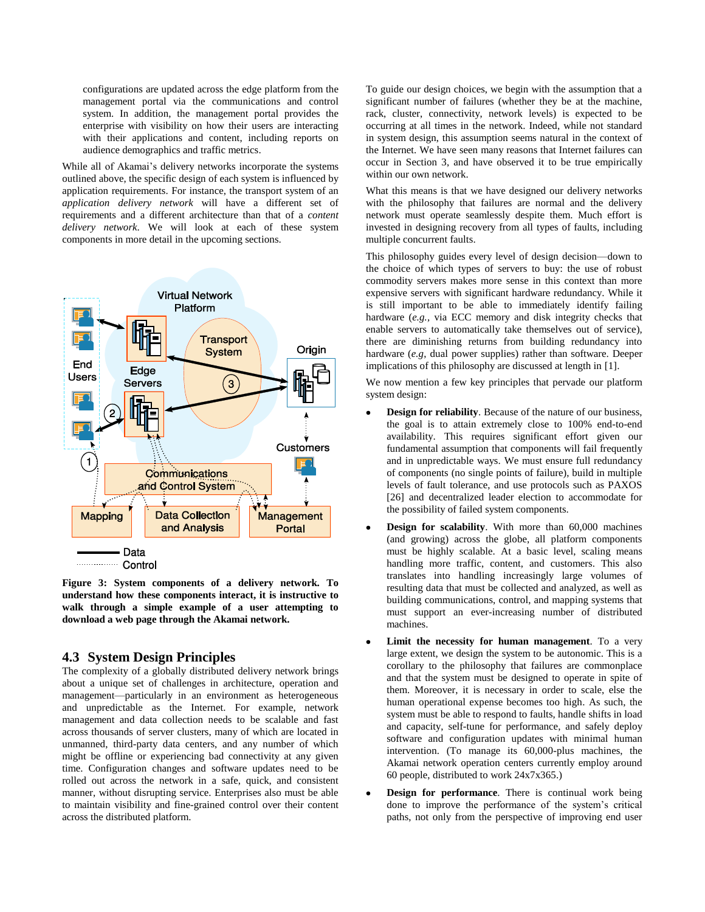configurations are updated across the edge platform from the management portal via the communications and control system. In addition, the management portal provides the enterprise with visibility on how their users are interacting with their applications and content, including reports on audience demographics and traffic metrics.

While all of Akamai's delivery networks incorporate the systems outlined above, the specific design of each system is influenced by application requirements. For instance, the transport system of an *application delivery network* will have a different set of requirements and a different architecture than that of a *content delivery network*. We will look at each of these system components in more detail in the upcoming sections.



<span id="page-4-0"></span>**Figure 3: System components of a delivery network. To understand how these components interact, it is instructive to walk through a simple example of a user attempting to download a web page through the Akamai network.**

### <span id="page-4-1"></span>**4.3 System Design Principles**

The complexity of a globally distributed delivery network brings about a unique set of challenges in architecture, operation and management—particularly in an environment as heterogeneous and unpredictable as the Internet. For example, network management and data collection needs to be scalable and fast across thousands of server clusters, many of which are located in unmanned, third-party data centers, and any number of which might be offline or experiencing bad connectivity at any given time. Configuration changes and software updates need to be rolled out across the network in a safe, quick, and consistent manner, without disrupting service. Enterprises also must be able to maintain visibility and fine-grained control over their content across the distributed platform.

To guide our design choices, we begin with the assumption that a significant number of failures (whether they be at the machine, rack, cluster, connectivity, network levels) is expected to be occurring at all times in the network. Indeed, while not standard in system design, this assumption seems natural in the context of the Internet. We have seen many reasons that Internet failures can occur in Section [3,](#page-1-1) and have observed it to be true empirically within our own network.

What this means is that we have designed our delivery networks with the philosophy that failures are normal and the delivery network must operate seamlessly despite them. Much effort is invested in designing recovery from all types of faults, including multiple concurrent faults.

This philosophy guides every level of design decision—down to the choice of which types of servers to buy: the use of robust commodity servers makes more sense in this context than more expensive servers with significant hardware redundancy. While it is still important to be able to immediately identify failing hardware (*e.g.,* via ECC memory and disk integrity checks that enable servers to automatically take themselves out of service), there are diminishing returns from building redundancy into hardware (*e.g*, dual power supplies) rather than software. Deeper implications of this philosophy are discussed at length in [\[1\].](#page-16-5)

We now mention a few key principles that pervade our platform system design:

- **Design for reliability**. Because of the nature of our business, the goal is to attain extremely close to 100% end-to-end availability. This requires significant effort given our fundamental assumption that components will fail frequently and in unpredictable ways. We must ensure full redundancy of components (no single points of failure), build in multiple levels of fault tolerance, and use protocols such as PAXOS [\[26\]](#page-17-16) and decentralized leader election to accommodate for the possibility of failed system components.
- **Design for scalability**. With more than 60,000 machines (and growing) across the globe, all platform components must be highly scalable. At a basic level, scaling means handling more traffic, content, and customers. This also translates into handling increasingly large volumes of resulting data that must be collected and analyzed, as well as building communications, control, and mapping systems that must support an ever-increasing number of distributed machines.
- **Limit the necessity for human management**. To a very large extent, we design the system to be autonomic. This is a corollary to the philosophy that failures are commonplace and that the system must be designed to operate in spite of them. Moreover, it is necessary in order to scale, else the human operational expense becomes too high. As such, the system must be able to respond to faults, handle shifts in load and capacity, self-tune for performance, and safely deploy software and configuration updates with minimal human intervention. (To manage its 60,000-plus machines, the Akamai network operation centers currently employ around 60 people, distributed to work 24x7x365.)
- **Design for performance**. There is continual work being done to improve the performance of the system's critical paths, not only from the perspective of improving end user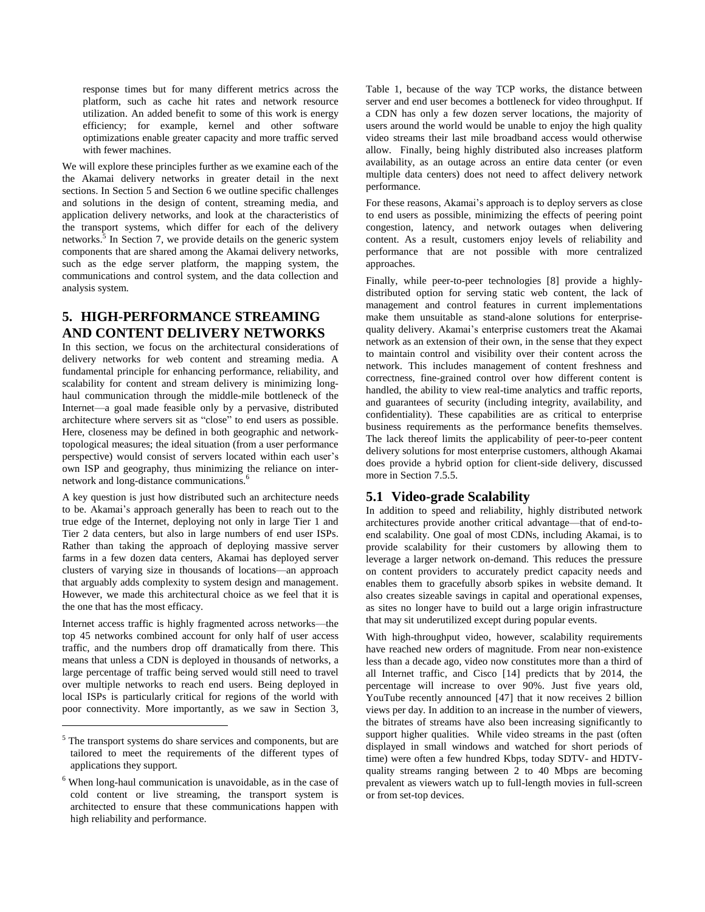response times but for many different metrics across the platform, such as cache hit rates and network resource utilization. An added benefit to some of this work is energy efficiency; for example, kernel and other software optimizations enable greater capacity and more traffic served with fewer machines.

We will explore these principles further as we examine each of the the Akamai delivery networks in greater detail in the next sections. In Section [5](#page-5-1) and Section [6](#page-7-0) we outline specific challenges and solutions in the design of content, streaming media, and application delivery networks, and look at the characteristics of the transport systems, which differ for each of the delivery networks.<sup> $\bar{5}$ </sup> In Section [7,](#page-9-0) we provide details on the generic system components that are shared among the Akamai delivery networks, such as the edge server platform, the mapping system, the communications and control system, and the data collection and analysis system.

# <span id="page-5-1"></span>**5. HIGH-PERFORMANCE STREAMING AND CONTENT DELIVERY NETWORKS**

In this section, we focus on the architectural considerations of delivery networks for web content and streaming media. A fundamental principle for enhancing performance, reliability, and scalability for content and stream delivery is minimizing longhaul communication through the middle-mile bottleneck of the Internet—a goal made feasible only by a pervasive, distributed architecture where servers sit as "close" to end users as possible. Here, closeness may be defined in both geographic and networktopological measures; the ideal situation (from a user performance perspective) would consist of servers located within each user's own ISP and geography, thus minimizing the reliance on internetwork and long-distance communications.<sup>6</sup>

A key question is just how distributed such an architecture needs to be. Akamai's approach generally has been to reach out to the true edge of the Internet, deploying not only in large Tier 1 and Tier 2 data centers, but also in large numbers of end user ISPs. Rather than taking the approach of deploying massive server farms in a few dozen data centers, Akamai has deployed server clusters of varying size in thousands of locations—an approach that arguably adds complexity to system design and management. However, we made this architectural choice as we feel that it is the one that has the most efficacy.

Internet access traffic is highly fragmented across networks—the top 45 networks combined account for only half of user access traffic, and the numbers drop off dramatically from there. This means that unless a CDN is deployed in thousands of networks, a large percentage of traffic being served would still need to travel over multiple networks to reach end users. Being deployed in local ISPs is particularly critical for regions of the world with poor connectivity. More importantly, as we saw in Section [3,](#page-1-1)

 $\overline{a}$ 

[Table 1,](#page-2-0) because of the way TCP works, the distance between server and end user becomes a bottleneck for video throughput. If a CDN has only a few dozen server locations, the majority of users around the world would be unable to enjoy the high quality video streams their last mile broadband access would otherwise allow. Finally, being highly distributed also increases platform availability, as an outage across an entire data center (or even multiple data centers) does not need to affect delivery network performance.

For these reasons, Akamai's approach is to deploy servers as close to end users as possible, minimizing the effects of peering point congestion, latency, and network outages when delivering content. As a result, customers enjoy levels of reliability and performance that are not possible with more centralized approaches.

Finally, while peer-to-peer technologies [\[8\]](#page-16-6) provide a highlydistributed option for serving static web content, the lack of management and control features in current implementations make them unsuitable as stand-alone solutions for enterprisequality delivery. Akamai's enterprise customers treat the Akamai network as an extension of their own, in the sense that they expect to maintain control and visibility over their content across the network. This includes management of content freshness and correctness, fine-grained control over how different content is handled, the ability to view real-time analytics and traffic reports, and guarantees of security (including integrity, availability, and confidentiality). These capabilities are as critical to enterprise business requirements as the performance benefits themselves. The lack thereof limits the applicability of peer-to-peer content delivery solutions for most enterprise customers, although Akamai does provide a hybrid option for client-side delivery, discussed more in Section [7.5.5.](#page-14-0)

### <span id="page-5-0"></span>**5.1 Video-grade Scalability**

In addition to speed and reliability, highly distributed network architectures provide another critical advantage—that of end-toend scalability. One goal of most CDNs, including Akamai, is to provide scalability for their customers by allowing them to leverage a larger network on-demand. This reduces the pressure on content providers to accurately predict capacity needs and enables them to gracefully absorb spikes in website demand. It also creates sizeable savings in capital and operational expenses, as sites no longer have to build out a large origin infrastructure that may sit underutilized except during popular events.

With high-throughput video, however, scalability requirements have reached new orders of magnitude. From near non-existence less than a decade ago, video now constitutes more than a third of all Internet traffic, and Cisco [\[14\]](#page-16-7) predicts that by 2014, the percentage will increase to over 90%. Just five years old, YouTube recently announced [\[47\]](#page-17-17) that it now receives 2 billion views per day. In addition to an increase in the number of viewers, the bitrates of streams have also been increasing significantly to support higher qualities. While video streams in the past (often displayed in small windows and watched for short periods of time) were often a few hundred Kbps, today SDTV- and HDTVquality streams ranging between 2 to 40 Mbps are becoming prevalent as viewers watch up to full-length movies in full-screen or from set-top devices.

<sup>5</sup> The transport systems do share services and components, but are tailored to meet the requirements of the different types of applications they support.

When long-haul communication is unavoidable, as in the case of cold content or live streaming, the transport system is architected to ensure that these communications happen with high reliability and performance.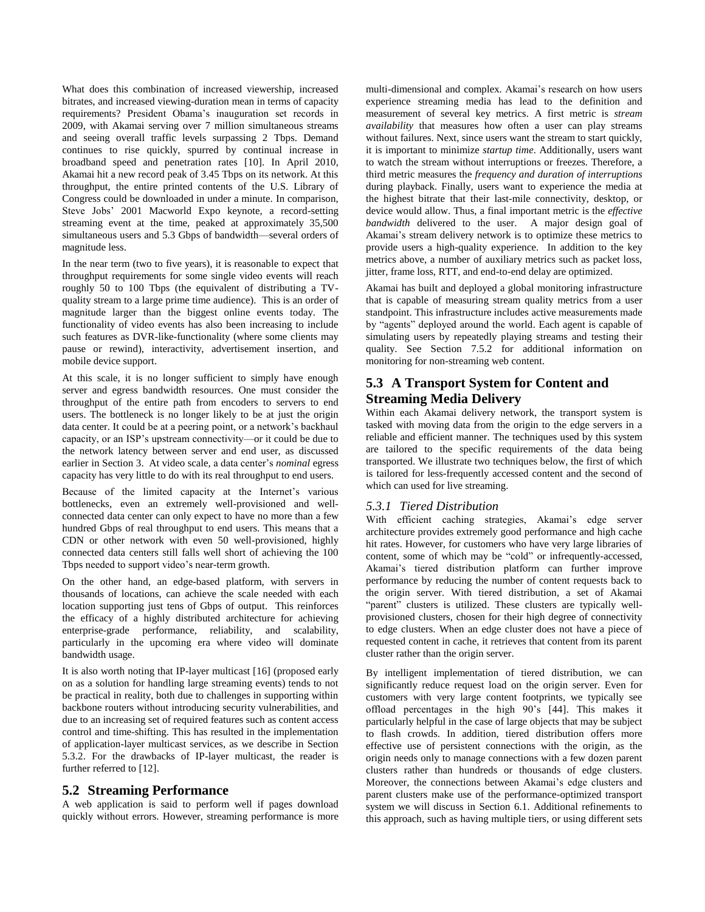What does this combination of increased viewership, increased bitrates, and increased viewing-duration mean in terms of capacity requirements? President Obama's inauguration set records in 2009, with Akamai serving over 7 million simultaneous streams and seeing overall traffic levels surpassing 2 Tbps. Demand continues to rise quickly, spurred by continual increase in broadband speed and penetration rates [\[10\].](#page-16-8) In April 2010, Akamai hit a new record peak of 3.45 Tbps on its network. At this throughput, the entire printed contents of the U.S. Library of Congress could be downloaded in under a minute. In comparison, Steve Jobs' 2001 Macworld Expo keynote, a record-setting streaming event at the time, peaked at approximately 35,500 simultaneous users and 5.3 Gbps of bandwidth—several orders of magnitude less.

In the near term (two to five years), it is reasonable to expect that throughput requirements for some single video events will reach roughly 50 to 100 Tbps (the equivalent of distributing a TVquality stream to a large prime time audience). This is an order of magnitude larger than the biggest online events today. The functionality of video events has also been increasing to include such features as DVR-like-functionality (where some clients may pause or rewind), interactivity, advertisement insertion, and mobile device support.

At this scale, it is no longer sufficient to simply have enough server and egress bandwidth resources. One must consider the throughput of the entire path from encoders to servers to end users. The bottleneck is no longer likely to be at just the origin data center. It could be at a peering point, or a network's backhaul capacity, or an ISP's upstream connectivity—or it could be due to the network latency between server and end user, as discussed earlier in Section [3.](#page-1-1) At video scale, a data center's *nominal* egress capacity has very little to do with its real throughput to end users.

Because of the limited capacity at the Internet's various bottlenecks, even an extremely well-provisioned and wellconnected data center can only expect to have no more than a few hundred Gbps of real throughput to end users. This means that a CDN or other network with even 50 well-provisioned, highly connected data centers still falls well short of achieving the 100 Tbps needed to support video's near-term growth.

On the other hand, an edge-based platform, with servers in thousands of locations, can achieve the scale needed with each location supporting just tens of Gbps of output. This reinforces the efficacy of a highly distributed architecture for achieving enterprise-grade performance, reliability, and scalability, particularly in the upcoming era where video will dominate bandwidth usage.

It is also worth noting that IP-layer multicast [\[16\]](#page-16-9) (proposed early on as a solution for handling large streaming events) tends to not be practical in reality, both due to challenges in supporting within backbone routers without introducing security vulnerabilities, and due to an increasing set of required features such as content access control and time-shifting. This has resulted in the implementation of application-layer multicast services, as we describe in Section [5.3.2.](#page-7-1) For the drawbacks of IP-layer multicast, the reader is further referred t[o \[12\].](#page-16-10)

### **5.2 Streaming Performance**

A web application is said to perform well if pages download quickly without errors. However, streaming performance is more

multi-dimensional and complex. Akamai's research on how users experience streaming media has lead to the definition and measurement of several key metrics. A first metric is *stream availability* that measures how often a user can play streams without failures. Next, since users want the stream to start quickly, it is important to minimize *startup time*. Additionally, users want to watch the stream without interruptions or freezes. Therefore, a third metric measures the *frequency and duration of interruptions* during playback. Finally, users want to experience the media at the highest bitrate that their last-mile connectivity, desktop, or device would allow. Thus, a final important metric is the *effective bandwidth* delivered to the user. A major design goal of Akamai's stream delivery network is to optimize these metrics to provide users a high-quality experience. In addition to the key metrics above, a number of auxiliary metrics such as packet loss, jitter, frame loss, RTT, and end-to-end delay are optimized.

Akamai has built and deployed a global monitoring infrastructure that is capable of measuring stream quality metrics from a user standpoint. This infrastructure includes active measurements made by "agents" deployed around the world. Each agent is capable of simulating users by repeatedly playing streams and testing their quality. See Section [7.5.2](#page-13-0) for additional information on monitoring for non-streaming web content.

# **5.3 A Transport System for Content and Streaming Media Delivery**

Within each Akamai delivery network, the transport system is tasked with moving data from the origin to the edge servers in a reliable and efficient manner. The techniques used by this system are tailored to the specific requirements of the data being transported. We illustrate two techniques below, the first of which is tailored for less-frequently accessed content and the second of which can used for live streaming.

### *5.3.1 Tiered Distribution*

With efficient caching strategies, Akamai's edge server architecture provides extremely good performance and high cache hit rates. However, for customers who have very large libraries of content, some of which may be "cold" or infrequently-accessed, Akamai's tiered distribution platform can further improve performance by reducing the number of content requests back to the origin server. With tiered distribution, a set of Akamai "parent" clusters is utilized. These clusters are typically wellprovisioned clusters, chosen for their high degree of connectivity to edge clusters. When an edge cluster does not have a piece of requested content in cache, it retrieves that content from its parent cluster rather than the origin server.

By intelligent implementation of tiered distribution, we can significantly reduce request load on the origin server. Even for customers with very large content footprints, we typically see offload percentages in the high 90's [\[44\].](#page-17-18) This makes it particularly helpful in the case of large objects that may be subject to flash crowds. In addition, tiered distribution offers more effective use of persistent connections with the origin, as the origin needs only to manage connections with a few dozen parent clusters rather than hundreds or thousands of edge clusters. Moreover, the connections between Akamai's edge clusters and parent clusters make use of the performance-optimized transport system we will discuss in Section [6.1.](#page-7-2) Additional refinements to this approach, such as having multiple tiers, or using different sets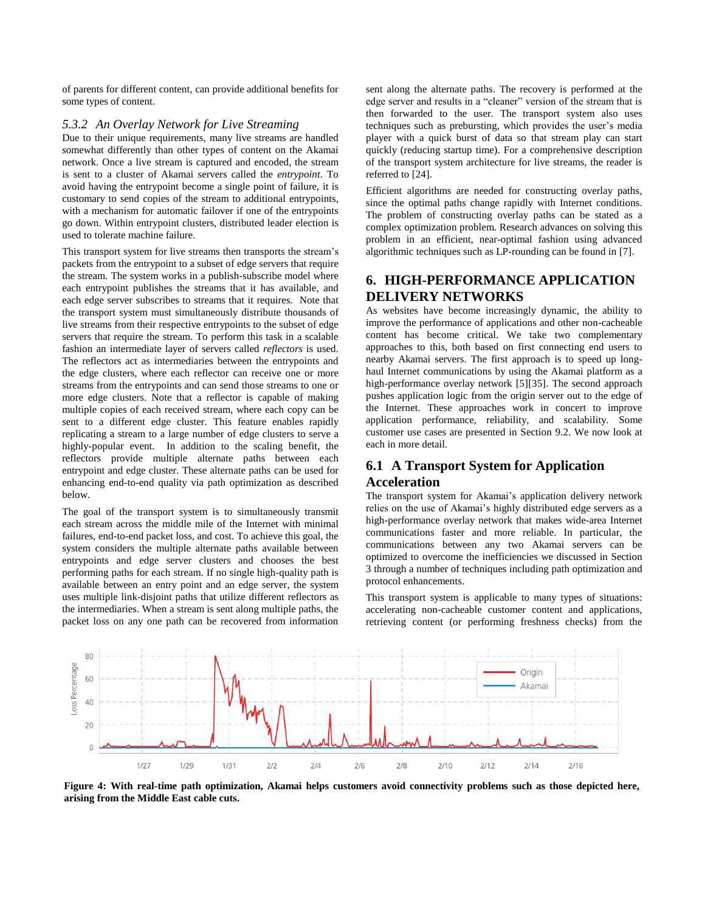of parents for different content, can provide additional benefits for some types of content.

#### <span id="page-7-1"></span>*5.3.2 An Overlay Network for Live Streaming*

Due to their unique requirements, many live streams are handled somewhat differently than other types of content on the Akamai network. Once a live stream is captured and encoded, the stream is sent to a cluster of Akamai servers called the *entrypoint*. To avoid having the entrypoint become a single point of failure, it is customary to send copies of the stream to additional entrypoints, with a mechanism for automatic failover if one of the entrypoints go down. Within entrypoint clusters, distributed leader election is used to tolerate machine failure.

This transport system for live streams then transports the stream's packets from the entrypoint to a subset of edge servers that require the stream. The system works in a publish-subscribe model where each entrypoint publishes the streams that it has available, and each edge server subscribes to streams that it requires. Note that the transport system must simultaneously distribute thousands of live streams from their respective entrypoints to the subset of edge servers that require the stream. To perform this task in a scalable fashion an intermediate layer of servers called *reflectors* is used. The reflectors act as intermediaries between the entrypoints and the edge clusters, where each reflector can receive one or more streams from the entrypoints and can send those streams to one or more edge clusters. Note that a reflector is capable of making multiple copies of each received stream, where each copy can be sent to a different edge cluster. This feature enables rapidly replicating a stream to a large number of edge clusters to serve a highly-popular event. In addition to the scaling benefit, the reflectors provide multiple alternate paths between each entrypoint and edge cluster. These alternate paths can be used for enhancing end-to-end quality via path optimization as described below.

The goal of the transport system is to simultaneously transmit each stream across the middle mile of the Internet with minimal failures, end-to-end packet loss, and cost. To achieve this goal, the system considers the multiple alternate paths available between entrypoints and edge server clusters and chooses the best performing paths for each stream. If no single high-quality path is available between an entry point and an edge server, the system uses multiple link-disjoint paths that utilize different reflectors as the intermediaries. When a stream is sent along multiple paths, the packet loss on any one path can be recovered from information

sent along the alternate paths. The recovery is performed at the edge server and results in a "cleaner" version of the stream that is then forwarded to the user. The transport system also uses techniques such as prebursting, which provides the user's media player with a quick burst of data so that stream play can start quickly (reducing startup time). For a comprehensive description of the transport system architecture for live streams, the reader is referred to [\[24\].](#page-17-19)

Efficient algorithms are needed for constructing overlay paths, since the optimal paths change rapidly with Internet conditions. The problem of constructing overlay paths can be stated as a complex optimization problem. Research advances on solving this problem in an efficient, near-optimal fashion using advanced algorithmic techniques such as LP-rounding can be found in [\[7\].](#page-16-11)

# <span id="page-7-0"></span>**6. HIGH-PERFORMANCE APPLICATION DELIVERY NETWORKS**

As websites have become increasingly dynamic, the ability to improve the performance of applications and other non-cacheable content has become critical. We take two complementary approaches to this, both based on first connecting end users to nearby Akamai servers. The first approach is to speed up longhaul Internet communications by using the Akamai platform as a high-performance overlay network [\[5\]\[35\].](#page-16-12) The second approach pushes application logic from the origin server out to the edge of the Internet. These approaches work in concert to improve application performance, reliability, and scalability. Some customer use cases are presented in Section [9.2.](#page-15-0) We now look at each in more detail.

# <span id="page-7-2"></span>**6.1 A Transport System for Application Acceleration**

The transport system for Akamai's application delivery network relies on the use of Akamai's highly distributed edge servers as a high-performance overlay network that makes wide-area Internet communications faster and more reliable. In particular, the communications between any two Akamai servers can be optimized to overcome the inefficiencies we discussed in Section [3](#page-1-1) through a number of techniques including path optimization and protocol enhancements.

This transport system is applicable to many types of situations: accelerating non-cacheable customer content and applications, retrieving content (or performing freshness checks) from the



<span id="page-7-3"></span>**Figure 4: With real-time path optimization, Akamai helps customers avoid connectivity problems such as those depicted here, arising from the Middle East cable cuts.**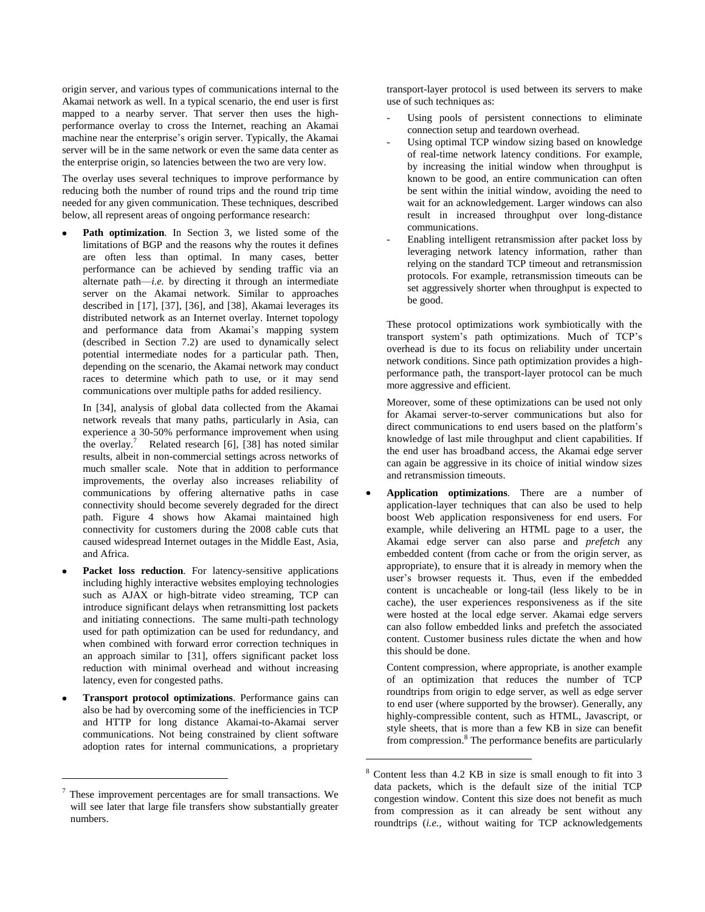origin server, and various types of communications internal to the Akamai network as well. In a typical scenario, the end user is first mapped to a nearby server. That server then uses the highperformance overlay to cross the Internet, reaching an Akamai machine near the enterprise's origin server. Typically, the Akamai server will be in the same network or even the same data center as the enterprise origin, so latencies between the two are very low.

The overlay uses several techniques to improve performance by reducing both the number of round trips and the round trip time needed for any given communication. These techniques, described below, all represent areas of ongoing performance research:

**Path optimization**. In Section [3,](#page-1-1) we listed some of the limitations of BGP and the reasons why the routes it defines are often less than optimal. In many cases, better performance can be achieved by sending traffic via an alternate path—*i.e.* by directing it through an intermediate server on the Akamai network. Similar to approaches described in [\[17\],](#page-16-13) [\[37\],](#page-17-20) [\[36\],](#page-17-21) and [\[38\],](#page-17-22) Akamai leverages its distributed network as an Internet overlay. Internet topology and performance data from Akamai's mapping system (described in Section [7.2\)](#page-11-0) are used to dynamically select potential intermediate nodes for a particular path. Then, depending on the scenario, the Akamai network may conduct races to determine which path to use, or it may send communications over multiple paths for added resiliency.

In [\[34\],](#page-17-2) analysis of global data collected from the Akamai network reveals that many paths, particularly in Asia, can experience a 30-50% performance improvement when using the overlay.<sup>7</sup> Related research [\[6\],](#page-16-4) [\[38\]](#page-17-22) has noted similar results, albeit in non-commercial settings across networks of much smaller scale. Note that in addition to performance improvements, the overlay also increases reliability of communications by offering alternative paths in case connectivity should become severely degraded for the direct path. [Figure 4](#page-7-3) shows how Akamai maintained high connectivity for customers during the 2008 cable cuts that caused widespread Internet outages in the Middle East, Asia, and Africa.

- **Packet loss reduction**. For latency-sensitive applications including highly interactive websites employing technologies such as AJAX or high-bitrate video streaming, TCP can introduce significant delays when retransmitting lost packets and initiating connections. The same multi-path technology used for path optimization can be used for redundancy, and when combined with forward error correction techniques in an approach similar to [\[31\],](#page-17-23) offers significant packet loss reduction with minimal overhead and without increasing latency, even for congested paths.
- **Transport protocol optimizations**. Performance gains can also be had by overcoming some of the inefficiencies in TCP and HTTP for long distance Akamai-to-Akamai server communications. Not being constrained by client software adoption rates for internal communications, a proprietary

 $\overline{a}$ 

transport-layer protocol is used between its servers to make use of such techniques as:

- Using pools of persistent connections to eliminate connection setup and teardown overhead.
- Using optimal TCP window sizing based on knowledge of real-time network latency conditions. For example, by increasing the initial window when throughput is known to be good, an entire communication can often be sent within the initial window, avoiding the need to wait for an acknowledgement. Larger windows can also result in increased throughput over long-distance communications.
- Enabling intelligent retransmission after packet loss by leveraging network latency information, rather than relying on the standard TCP timeout and retransmission protocols. For example, retransmission timeouts can be set aggressively shorter when throughput is expected to be good.

These protocol optimizations work symbiotically with the transport system's path optimizations. Much of TCP's overhead is due to its focus on reliability under uncertain network conditions. Since path optimization provides a highperformance path, the transport-layer protocol can be much more aggressive and efficient.

Moreover, some of these optimizations can be used not only for Akamai server-to-server communications but also for direct communications to end users based on the platform's knowledge of last mile throughput and client capabilities. If the end user has broadband access, the Akamai edge server can again be aggressive in its choice of initial window sizes and retransmission timeouts.

**Application optimizations**. There are a number of application-layer techniques that can also be used to help boost Web application responsiveness for end users. For example, while delivering an HTML page to a user, the Akamai edge server can also parse and *prefetch* any embedded content (from cache or from the origin server, as appropriate), to ensure that it is already in memory when the user's browser requests it. Thus, even if the embedded content is uncacheable or long-tail (less likely to be in cache), the user experiences responsiveness as if the site were hosted at the local edge server. Akamai edge servers can also follow embedded links and prefetch the associated content. Customer business rules dictate the when and how this should be done.

Content compression, where appropriate, is another example of an optimization that reduces the number of TCP roundtrips from origin to edge server, as well as edge server to end user (where supported by the browser). Generally, any highly-compressible content, such as HTML, Javascript, or style sheets, that is more than a few KB in size can benefit from compression. <sup>8</sup> The performance benefits are particularly

l

<sup>7</sup> These improvement percentages are for small transactions. We will see later that large file transfers show substantially greater numbers.

<sup>8</sup> Content less than 4.2 KB in size is small enough to fit into 3 data packets, which is the default size of the initial TCP congestion window. Content this size does not benefit as much from compression as it can already be sent without any roundtrips (*i.e.,* without waiting for TCP acknowledgements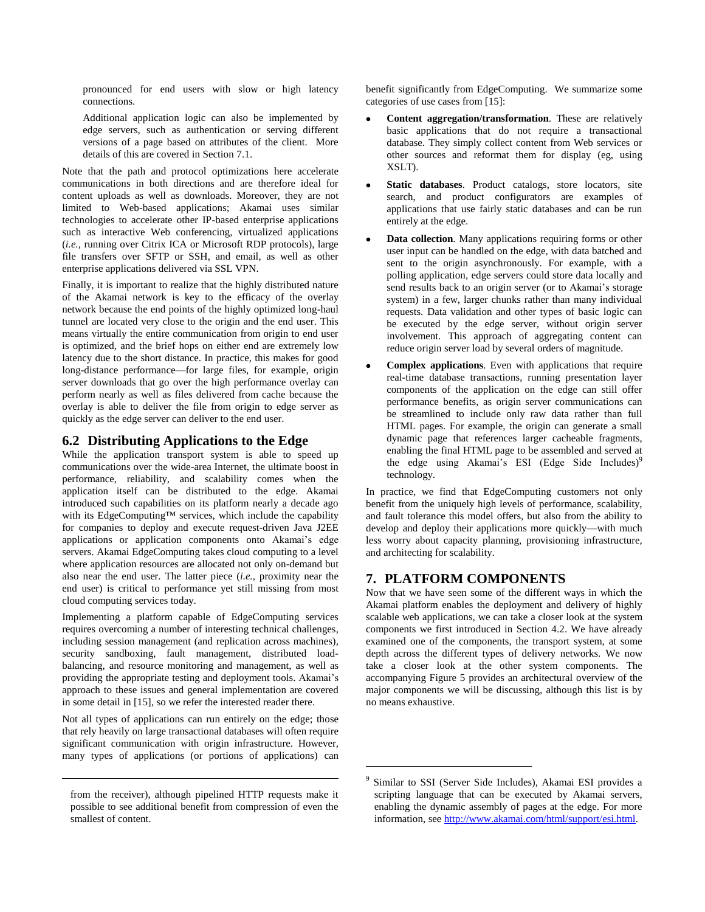pronounced for end users with slow or high latency connections.

Additional application logic can also be implemented by edge servers, such as authentication or serving different versions of a page based on attributes of the client. More details of this are covered in Sectio[n 7.1.](#page-10-0)

Note that the path and protocol optimizations here accelerate communications in both directions and are therefore ideal for content uploads as well as downloads. Moreover, they are not limited to Web-based applications; Akamai uses similar technologies to accelerate other IP-based enterprise applications such as interactive Web conferencing, virtualized applications (*i.e.,* running over Citrix ICA or Microsoft RDP protocols), large file transfers over SFTP or SSH, and email, as well as other enterprise applications delivered via SSL VPN.

Finally, it is important to realize that the highly distributed nature of the Akamai network is key to the efficacy of the overlay network because the end points of the highly optimized long-haul tunnel are located very close to the origin and the end user. This means virtually the entire communication from origin to end user is optimized, and the brief hops on either end are extremely low latency due to the short distance. In practice, this makes for good long-distance performance—for large files, for example, origin server downloads that go over the high performance overlay can perform nearly as well as files delivered from cache because the overlay is able to deliver the file from origin to edge server as quickly as the edge server can deliver to the end user.

### **6.2 Distributing Applications to the Edge**

While the application transport system is able to speed up communications over the wide-area Internet, the ultimate boost in performance, reliability, and scalability comes when the application itself can be distributed to the edge. Akamai introduced such capabilities on its platform nearly a decade ago with its EdgeComputing™ services, which include the capability for companies to deploy and execute request-driven Java J2EE applications or application components onto Akamai's edge servers. Akamai EdgeComputing takes cloud computing to a level where application resources are allocated not only on-demand but also near the end user. The latter piece (*i.e.,* proximity near the end user) is critical to performance yet still missing from most cloud computing services today.

Implementing a platform capable of EdgeComputing services requires overcoming a number of interesting technical challenges, including session management (and replication across machines), security sandboxing, fault management, distributed loadbalancing, and resource monitoring and management, as well as providing the appropriate testing and deployment tools. Akamai's approach to these issues and general implementation are covered in some detail in [\[15\],](#page-16-14) so we refer the interested reader there.

Not all types of applications can run entirely on the edge; those that rely heavily on large transactional databases will often require significant communication with origin infrastructure. However, many types of applications (or portions of applications) can

 $\overline{a}$ 

benefit significantly from EdgeComputing. We summarize some categories of use cases fro[m \[15\]:](#page-16-14)

- **Content aggregation/transformation**. These are relatively basic applications that do not require a transactional database. They simply collect content from Web services or other sources and reformat them for display (eg, using XSLT).
- **Static databases**. Product catalogs, store locators, site search, and product configurators are examples of applications that use fairly static databases and can be run entirely at the edge.
- **Data collection**. Many applications requiring forms or other user input can be handled on the edge, with data batched and sent to the origin asynchronously. For example, with a polling application, edge servers could store data locally and send results back to an origin server (or to Akamai's storage system) in a few, larger chunks rather than many individual requests. Data validation and other types of basic logic can be executed by the edge server, without origin server involvement. This approach of aggregating content can reduce origin server load by several orders of magnitude.
- **Complex applications**. Even with applications that require real-time database transactions, running presentation layer components of the application on the edge can still offer performance benefits, as origin server communications can be streamlined to include only raw data rather than full HTML pages. For example, the origin can generate a small dynamic page that references larger cacheable fragments, enabling the final HTML page to be assembled and served at the edge using Akamai's ESI (Edge Side Includes)<sup>9</sup> technology.

In practice, we find that EdgeComputing customers not only benefit from the uniquely high levels of performance, scalability, and fault tolerance this model offers, but also from the ability to develop and deploy their applications more quickly—with much less worry about capacity planning, provisioning infrastructure, and architecting for scalability.

### <span id="page-9-0"></span>**7. PLATFORM COMPONENTS**

 $\overline{a}$ 

Now that we have seen some of the different ways in which the Akamai platform enables the deployment and delivery of highly scalable web applications, we can take a closer look at the system components we first introduced in Section [4.2.](#page-3-1) We have already examined one of the components, the transport system, at some depth across the different types of delivery networks. We now take a closer look at the other system components. The accompanying [Figure 5](#page-10-1) provides an architectural overview of the major components we will be discussing, although this list is by no means exhaustive.

from the receiver), although pipelined HTTP requests make it possible to see additional benefit from compression of even the smallest of content.

<sup>9</sup> Similar to SSI (Server Side Includes), Akamai ESI provides a scripting language that can be executed by Akamai servers, enabling the dynamic assembly of pages at the edge. For more information, see [http://www.akamai.com/html/support/esi.html.](http://www.akamai.com/html/support/esi.html)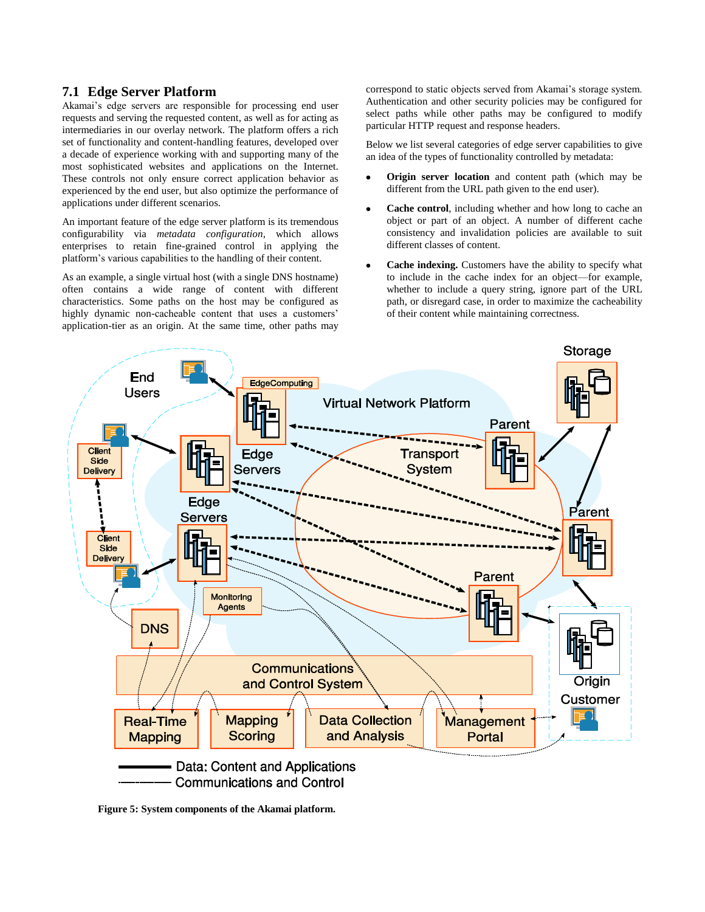### <span id="page-10-0"></span>**7.1 Edge Server Platform**

Akamai's edge servers are responsible for processing end user requests and serving the requested content, as well as for acting as intermediaries in our overlay network. The platform offers a rich set of functionality and content-handling features, developed over a decade of experience working with and supporting many of the most sophisticated websites and applications on the Internet. These controls not only ensure correct application behavior as experienced by the end user, but also optimize the performance of applications under different scenarios.

An important feature of the edge server platform is its tremendous configurability via *metadata configuration*, which allows enterprises to retain fine-grained control in applying the platform's various capabilities to the handling of their content.

As an example, a single virtual host (with a single DNS hostname) often contains a wide range of content with different characteristics. Some paths on the host may be configured as highly dynamic non-cacheable content that uses a customers' application-tier as an origin. At the same time, other paths may

correspond to static objects served from Akamai's storage system. Authentication and other security policies may be configured for select paths while other paths may be configured to modify particular HTTP request and response headers.

Below we list several categories of edge server capabilities to give an idea of the types of functionality controlled by metadata:

- **Origin server location** and content path (which may be different from the URL path given to the end user).
- **Cache control**, including whether and how long to cache an object or part of an object. A number of different cache consistency and invalidation policies are available to suit different classes of content.
- **Cache indexing.** Customers have the ability to specify what to include in the cache index for an object—for example, whether to include a query string, ignore part of the URL path, or disregard case, in order to maximize the cacheability of their content while maintaining correctness.



<span id="page-10-1"></span>**Figure 5: System components of the Akamai platform.**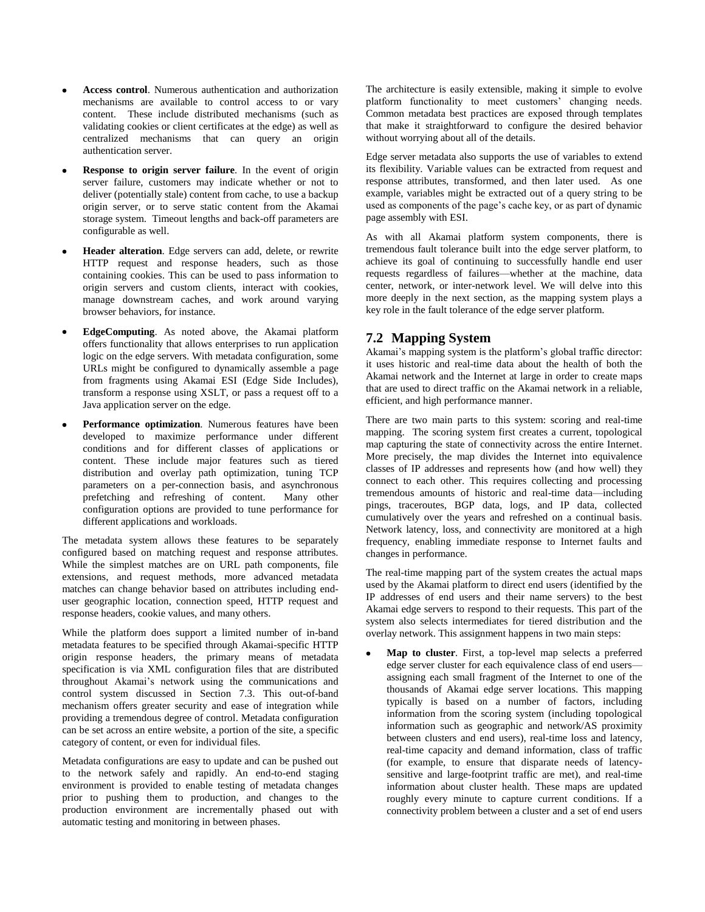- **Access control**. Numerous authentication and authorization mechanisms are available to control access to or vary content. These include distributed mechanisms (such as validating cookies or client certificates at the edge) as well as centralized mechanisms that can query an origin authentication server.
- **Response to origin server failure**. In the event of origin server failure, customers may indicate whether or not to deliver (potentially stale) content from cache, to use a backup origin server, or to serve static content from the Akamai storage system. Timeout lengths and back-off parameters are configurable as well.
- **Header alteration**. Edge servers can add, delete, or rewrite HTTP request and response headers, such as those containing cookies. This can be used to pass information to origin servers and custom clients, interact with cookies, manage downstream caches, and work around varying browser behaviors, for instance.
- **EdgeComputing**. As noted above, the Akamai platform offers functionality that allows enterprises to run application logic on the edge servers. With metadata configuration, some URLs might be configured to dynamically assemble a page from fragments using Akamai ESI (Edge Side Includes), transform a response using XSLT, or pass a request off to a Java application server on the edge.
- **Performance optimization**. Numerous features have been developed to maximize performance under different conditions and for different classes of applications or content. These include major features such as tiered distribution and overlay path optimization, tuning TCP parameters on a per-connection basis, and asynchronous prefetching and refreshing of content. Many other configuration options are provided to tune performance for different applications and workloads.

The metadata system allows these features to be separately configured based on matching request and response attributes. While the simplest matches are on URL path components, file extensions, and request methods, more advanced metadata matches can change behavior based on attributes including enduser geographic location, connection speed, HTTP request and response headers, cookie values, and many others.

While the platform does support a limited number of in-band metadata features to be specified through Akamai-specific HTTP origin response headers, the primary means of metadata specification is via XML configuration files that are distributed throughout Akamai's network using the communications and control system discussed in Section [7.3.](#page-12-0) This out-of-band mechanism offers greater security and ease of integration while providing a tremendous degree of control. Metadata configuration can be set across an entire website, a portion of the site, a specific category of content, or even for individual files.

Metadata configurations are easy to update and can be pushed out to the network safely and rapidly. An end-to-end staging environment is provided to enable testing of metadata changes prior to pushing them to production, and changes to the production environment are incrementally phased out with automatic testing and monitoring in between phases.

The architecture is easily extensible, making it simple to evolve platform functionality to meet customers' changing needs. Common metadata best practices are exposed through templates that make it straightforward to configure the desired behavior without worrying about all of the details.

Edge server metadata also supports the use of variables to extend its flexibility. Variable values can be extracted from request and response attributes, transformed, and then later used. As one example, variables might be extracted out of a query string to be used as components of the page's cache key, or as part of dynamic page assembly with ESI.

As with all Akamai platform system components, there is tremendous fault tolerance built into the edge server platform, to achieve its goal of continuing to successfully handle end user requests regardless of failures—whether at the machine, data center, network, or inter-network level. We will delve into this more deeply in the next section, as the mapping system plays a key role in the fault tolerance of the edge server platform.

### <span id="page-11-0"></span>**7.2 Mapping System**

Akamai's mapping system is the platform's global traffic director: it uses historic and real-time data about the health of both the Akamai network and the Internet at large in order to create maps that are used to direct traffic on the Akamai network in a reliable, efficient, and high performance manner.

There are two main parts to this system: scoring and real-time mapping. The scoring system first creates a current, topological map capturing the state of connectivity across the entire Internet. More precisely, the map divides the Internet into equivalence classes of IP addresses and represents how (and how well) they connect to each other. This requires collecting and processing tremendous amounts of historic and real-time data—including pings, traceroutes, BGP data, logs, and IP data, collected cumulatively over the years and refreshed on a continual basis. Network latency, loss, and connectivity are monitored at a high frequency, enabling immediate response to Internet faults and changes in performance.

The real-time mapping part of the system creates the actual maps used by the Akamai platform to direct end users (identified by the IP addresses of end users and their name servers) to the best Akamai edge servers to respond to their requests. This part of the system also selects intermediates for tiered distribution and the overlay network. This assignment happens in two main steps:

**Map to cluster**. First, a top-level map selects a preferred edge server cluster for each equivalence class of end users assigning each small fragment of the Internet to one of the thousands of Akamai edge server locations. This mapping typically is based on a number of factors, including information from the scoring system (including topological information such as geographic and network/AS proximity between clusters and end users), real-time loss and latency, real-time capacity and demand information, class of traffic (for example, to ensure that disparate needs of latencysensitive and large-footprint traffic are met), and real-time information about cluster health. These maps are updated roughly every minute to capture current conditions. If a connectivity problem between a cluster and a set of end users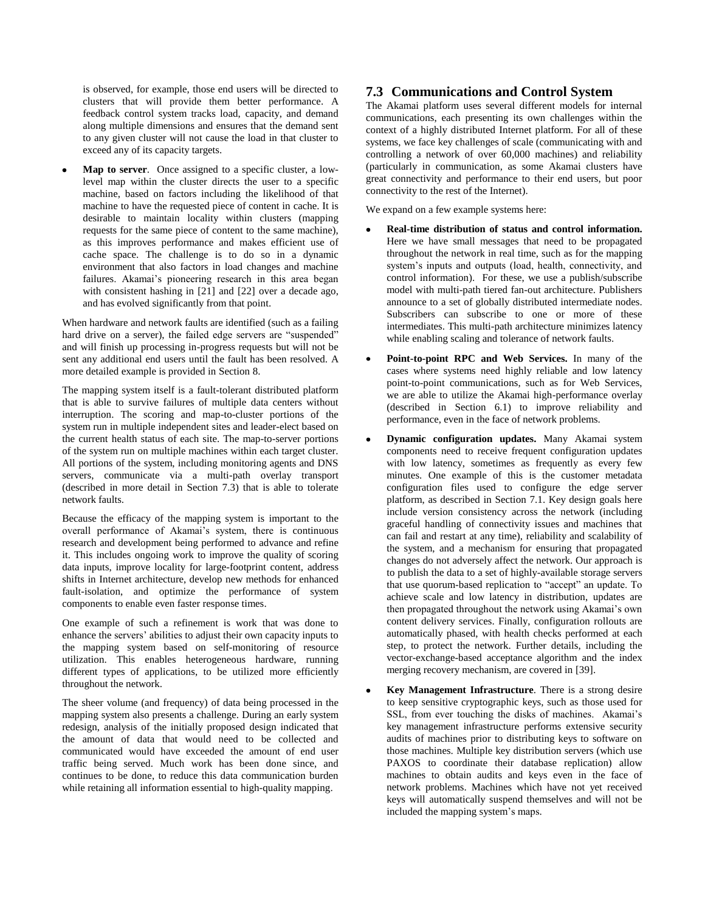is observed, for example, those end users will be directed to clusters that will provide them better performance. A feedback control system tracks load, capacity, and demand along multiple dimensions and ensures that the demand sent to any given cluster will not cause the load in that cluster to exceed any of its capacity targets.

**Map to server**. Once assigned to a specific cluster, a lowlevel map within the cluster directs the user to a specific machine, based on factors including the likelihood of that machine to have the requested piece of content in cache. It is desirable to maintain locality within clusters (mapping requests for the same piece of content to the same machine), as this improves performance and makes efficient use of cache space. The challenge is to do so in a dynamic environment that also factors in load changes and machine failures. Akamai's pioneering research in this area began with consistent hashing in [\[21\]](#page-17-24) and [\[22\]](#page-17-25) over a decade ago, and has evolved significantly from that point.

When hardware and network faults are identified (such as a failing hard drive on a server), the failed edge servers are "suspended" and will finish up processing in-progress requests but will not be sent any additional end users until the fault has been resolved. A more detailed example is provided in Sectio[n 8.](#page-14-1)

The mapping system itself is a fault-tolerant distributed platform that is able to survive failures of multiple data centers without interruption. The scoring and map-to-cluster portions of the system run in multiple independent sites and leader-elect based on the current health status of each site. The map-to-server portions of the system run on multiple machines within each target cluster. All portions of the system, including monitoring agents and DNS servers, communicate via a multi-path overlay transport (described in more detail in Section [7.3\)](#page-12-0) that is able to tolerate network faults.

Because the efficacy of the mapping system is important to the overall performance of Akamai's system, there is continuous research and development being performed to advance and refine it. This includes ongoing work to improve the quality of scoring data inputs, improve locality for large-footprint content, address shifts in Internet architecture, develop new methods for enhanced fault-isolation, and optimize the performance of system components to enable even faster response times.

One example of such a refinement is work that was done to enhance the servers' abilities to adjust their own capacity inputs to the mapping system based on self-monitoring of resource utilization. This enables heterogeneous hardware, running different types of applications, to be utilized more efficiently throughout the network.

The sheer volume (and frequency) of data being processed in the mapping system also presents a challenge. During an early system redesign, analysis of the initially proposed design indicated that the amount of data that would need to be collected and communicated would have exceeded the amount of end user traffic being served. Much work has been done since, and continues to be done, to reduce this data communication burden while retaining all information essential to high-quality mapping.

### <span id="page-12-0"></span>**7.3 Communications and Control System**

The Akamai platform uses several different models for internal communications, each presenting its own challenges within the context of a highly distributed Internet platform. For all of these systems, we face key challenges of scale (communicating with and controlling a network of over 60,000 machines) and reliability (particularly in communication, as some Akamai clusters have great connectivity and performance to their end users, but poor connectivity to the rest of the Internet).

We expand on a few example systems here:

- **Real-time distribution of status and control information.**  Here we have small messages that need to be propagated throughout the network in real time, such as for the mapping system's inputs and outputs (load, health, connectivity, and control information). For these, we use a publish/subscribe model with multi-path tiered fan-out architecture. Publishers announce to a set of globally distributed intermediate nodes. Subscribers can subscribe to one or more of these intermediates. This multi-path architecture minimizes latency while enabling scaling and tolerance of network faults.
- **Point-to-point RPC and Web Services.** In many of the cases where systems need highly reliable and low latency point-to-point communications, such as for Web Services, we are able to utilize the Akamai high-performance overlay (described in Section [6.1\)](#page-7-2) to improve reliability and performance, even in the face of network problems.
- **Dynamic configuration updates.** Many Akamai system components need to receive frequent configuration updates with low latency, sometimes as frequently as every few minutes. One example of this is the customer metadata configuration files used to configure the edge server platform, as described in Section [7.1.](#page-10-0) Key design goals here include version consistency across the network (including graceful handling of connectivity issues and machines that can fail and restart at any time), reliability and scalability of the system, and a mechanism for ensuring that propagated changes do not adversely affect the network. Our approach is to publish the data to a set of highly-available storage servers that use quorum-based replication to "accept" an update. To achieve scale and low latency in distribution, updates are then propagated throughout the network using Akamai's own content delivery services. Finally, configuration rollouts are automatically phased, with health checks performed at each step, to protect the network. Further details, including the vector-exchange-based acceptance algorithm and the index merging recovery mechanism, are covered in [\[39\].](#page-17-26)
- **Key Management Infrastructure**. There is a strong desire to keep sensitive cryptographic keys, such as those used for SSL, from ever touching the disks of machines. Akamai's key management infrastructure performs extensive security audits of machines prior to distributing keys to software on those machines. Multiple key distribution servers (which use PAXOS to coordinate their database replication) allow machines to obtain audits and keys even in the face of network problems. Machines which have not yet received keys will automatically suspend themselves and will not be included the mapping system's maps.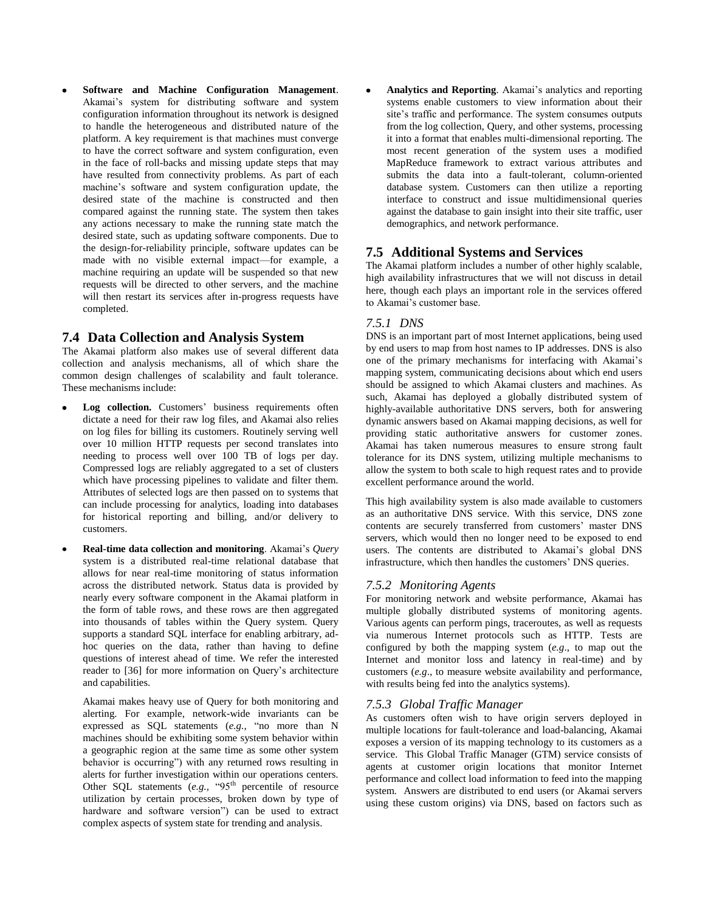**Software and Machine Configuration Management**. Akamai's system for distributing software and system configuration information throughout its network is designed to handle the heterogeneous and distributed nature of the platform. A key requirement is that machines must converge to have the correct software and system configuration, even in the face of roll-backs and missing update steps that may have resulted from connectivity problems. As part of each machine's software and system configuration update, the desired state of the machine is constructed and then compared against the running state. The system then takes any actions necessary to make the running state match the desired state, such as updating software components. Due to the design-for-reliability principle, software updates can be made with no visible external impact—for example, a machine requiring an update will be suspended so that new requests will be directed to other servers, and the machine will then restart its services after in-progress requests have completed.

### **7.4 Data Collection and Analysis System**

The Akamai platform also makes use of several different data collection and analysis mechanisms, all of which share the common design challenges of scalability and fault tolerance. These mechanisms include:

- **Log collection.** Customers' business requirements often dictate a need for their raw log files, and Akamai also relies on log files for billing its customers. Routinely serving well over 10 million HTTP requests per second translates into needing to process well over 100 TB of logs per day. Compressed logs are reliably aggregated to a set of clusters which have processing pipelines to validate and filter them. Attributes of selected logs are then passed on to systems that can include processing for analytics, loading into databases for historical reporting and billing, and/or delivery to customers.
- **Real-time data collection and monitoring**. Akamai's *Query* system is a distributed real-time relational database that allows for near real-time monitoring of status information across the distributed network. Status data is provided by nearly every software component in the Akamai platform in the form of table rows, and these rows are then aggregated into thousands of tables within the Query system. Query supports a standard SQL interface for enabling arbitrary, adhoc queries on the data, rather than having to define questions of interest ahead of time. We refer the interested reader to [\[36\]](#page-17-21) for more information on Query's architecture and capabilities.

Akamai makes heavy use of Query for both monitoring and alerting. For example, network-wide invariants can be expressed as SQL statements (e.g., "no more than N machines should be exhibiting some system behavior within a geographic region at the same time as some other system behavior is occurring") with any returned rows resulting in alerts for further investigation within our operations centers. Other SQL statements (e.g., "95<sup>th</sup> percentile of resource utilization by certain processes, broken down by type of hardware and software version") can be used to extract complex aspects of system state for trending and analysis.

**Analytics and Reporting**. Akamai's analytics and reporting systems enable customers to view information about their site's traffic and performance. The system consumes outputs from the log collection, Query, and other systems, processing it into a format that enables multi-dimensional reporting. The most recent generation of the system uses a modified MapReduce framework to extract various attributes and submits the data into a fault-tolerant, column-oriented database system. Customers can then utilize a reporting interface to construct and issue multidimensional queries against the database to gain insight into their site traffic, user demographics, and network performance.

### **7.5 Additional Systems and Services**

The Akamai platform includes a number of other highly scalable, high availability infrastructures that we will not discuss in detail here, though each plays an important role in the services offered to Akamai's customer base.

#### *7.5.1 DNS*

DNS is an important part of most Internet applications, being used by end users to map from host names to IP addresses. DNS is also one of the primary mechanisms for interfacing with Akamai's mapping system, communicating decisions about which end users should be assigned to which Akamai clusters and machines. As such, Akamai has deployed a globally distributed system of highly-available authoritative DNS servers, both for answering dynamic answers based on Akamai mapping decisions, as well for providing static authoritative answers for customer zones. Akamai has taken numerous measures to ensure strong fault tolerance for its DNS system, utilizing multiple mechanisms to allow the system to both scale to high request rates and to provide excellent performance around the world.

This high availability system is also made available to customers as an authoritative DNS service. With this service, DNS zone contents are securely transferred from customers' master DNS servers, which would then no longer need to be exposed to end users. The contents are distributed to Akamai's global DNS infrastructure, which then handles the customers' DNS queries.

#### <span id="page-13-0"></span>*7.5.2 Monitoring Agents*

For monitoring network and website performance, Akamai has multiple globally distributed systems of monitoring agents. Various agents can perform pings, traceroutes, as well as requests via numerous Internet protocols such as HTTP. Tests are configured by both the mapping system (*e.g*., to map out the Internet and monitor loss and latency in real-time) and by customers (*e.g*., to measure website availability and performance, with results being fed into the analytics systems).

#### *7.5.3 Global Traffic Manager*

As customers often wish to have origin servers deployed in multiple locations for fault-tolerance and load-balancing, Akamai exposes a version of its mapping technology to its customers as a service. This Global Traffic Manager (GTM) service consists of agents at customer origin locations that monitor Internet performance and collect load information to feed into the mapping system. Answers are distributed to end users (or Akamai servers using these custom origins) via DNS, based on factors such as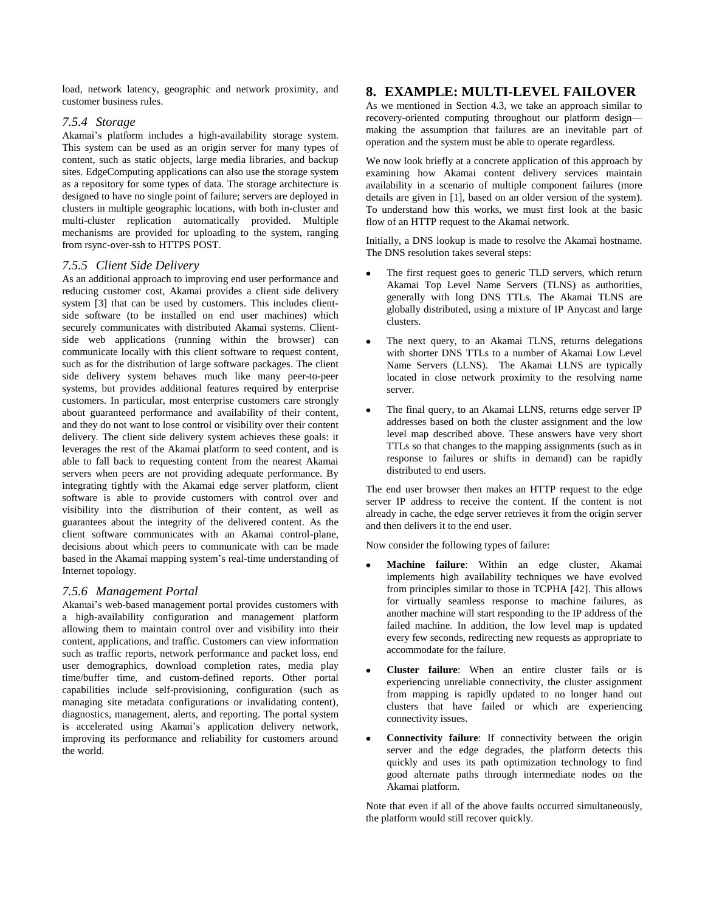load, network latency, geographic and network proximity, and customer business rules.

#### *7.5.4 Storage*

Akamai's platform includes a high-availability storage system. This system can be used as an origin server for many types of content, such as static objects, large media libraries, and backup sites. EdgeComputing applications can also use the storage system as a repository for some types of data. The storage architecture is designed to have no single point of failure; servers are deployed in clusters in multiple geographic locations, with both in-cluster and multi-cluster replication automatically provided. Multiple mechanisms are provided for uploading to the system, ranging from rsync-over-ssh to HTTPS POST.

#### <span id="page-14-0"></span>*7.5.5 Client Side Delivery*

As an additional approach to improving end user performance and reducing customer cost, Akamai provides a client side delivery system [\[3\]](#page-16-15) that can be used by customers. This includes clientside software (to be installed on end user machines) which securely communicates with distributed Akamai systems. Clientside web applications (running within the browser) can communicate locally with this client software to request content, such as for the distribution of large software packages. The client side delivery system behaves much like many peer-to-peer systems, but provides additional features required by enterprise customers. In particular, most enterprise customers care strongly about guaranteed performance and availability of their content, and they do not want to lose control or visibility over their content delivery. The client side delivery system achieves these goals: it leverages the rest of the Akamai platform to seed content, and is able to fall back to requesting content from the nearest Akamai servers when peers are not providing adequate performance. By integrating tightly with the Akamai edge server platform, client software is able to provide customers with control over and visibility into the distribution of their content, as well as guarantees about the integrity of the delivered content. As the client software communicates with an Akamai control-plane, decisions about which peers to communicate with can be made based in the Akamai mapping system's real-time understanding of Internet topology.

### *7.5.6 Management Portal*

Akamai's web-based management portal provides customers with a high-availability configuration and management platform allowing them to maintain control over and visibility into their content, applications, and traffic. Customers can view information such as traffic reports, network performance and packet loss, end user demographics, download completion rates, media play time/buffer time, and custom-defined reports. Other portal capabilities include self-provisioning, configuration (such as managing site metadata configurations or invalidating content), diagnostics, management, alerts, and reporting. The portal system is accelerated using Akamai's application delivery network, improving its performance and reliability for customers around the world.

### <span id="page-14-1"></span>**8. EXAMPLE: MULTI-LEVEL FAILOVER**

As we mentioned in Section [4.3,](#page-4-1) we take an approach similar to recovery-oriented computing throughout our platform design making the assumption that failures are an inevitable part of operation and the system must be able to operate regardless.

We now look briefly at a concrete application of this approach by examining how Akamai content delivery services maintain availability in a scenario of multiple component failures (more details are given in [\[1\],](#page-16-5) based on an older version of the system). To understand how this works, we must first look at the basic flow of an HTTP request to the Akamai network.

Initially, a DNS lookup is made to resolve the Akamai hostname. The DNS resolution takes several steps:

- The first request goes to generic TLD servers, which return Akamai Top Level Name Servers (TLNS) as authorities, generally with long DNS TTLs. The Akamai TLNS are globally distributed, using a mixture of IP Anycast and large clusters.
- The next query, to an Akamai TLNS, returns delegations with shorter DNS TTLs to a number of Akamai Low Level Name Servers (LLNS). The Akamai LLNS are typically located in close network proximity to the resolving name server.
- The final query, to an Akamai LLNS, returns edge server IP addresses based on both the cluster assignment and the low level map described above. These answers have very short TTLs so that changes to the mapping assignments (such as in response to failures or shifts in demand) can be rapidly distributed to end users.

The end user browser then makes an HTTP request to the edge server IP address to receive the content. If the content is not already in cache, the edge server retrieves it from the origin server and then delivers it to the end user.

Now consider the following types of failure:

- **Machine failure**: Within an edge cluster, Akamai implements high availability techniques we have evolved from principles similar to those in TCPHA [\[42\].](#page-17-27) This allows for virtually seamless response to machine failures, as another machine will start responding to the IP address of the failed machine. In addition, the low level map is updated every few seconds, redirecting new requests as appropriate to accommodate for the failure.
- **Cluster failure**: When an entire cluster fails or is experiencing unreliable connectivity, the cluster assignment from mapping is rapidly updated to no longer hand out clusters that have failed or which are experiencing connectivity issues.
- **Connectivity failure**: If connectivity between the origin server and the edge degrades, the platform detects this quickly and uses its path optimization technology to find good alternate paths through intermediate nodes on the Akamai platform.

Note that even if all of the above faults occurred simultaneously, the platform would still recover quickly.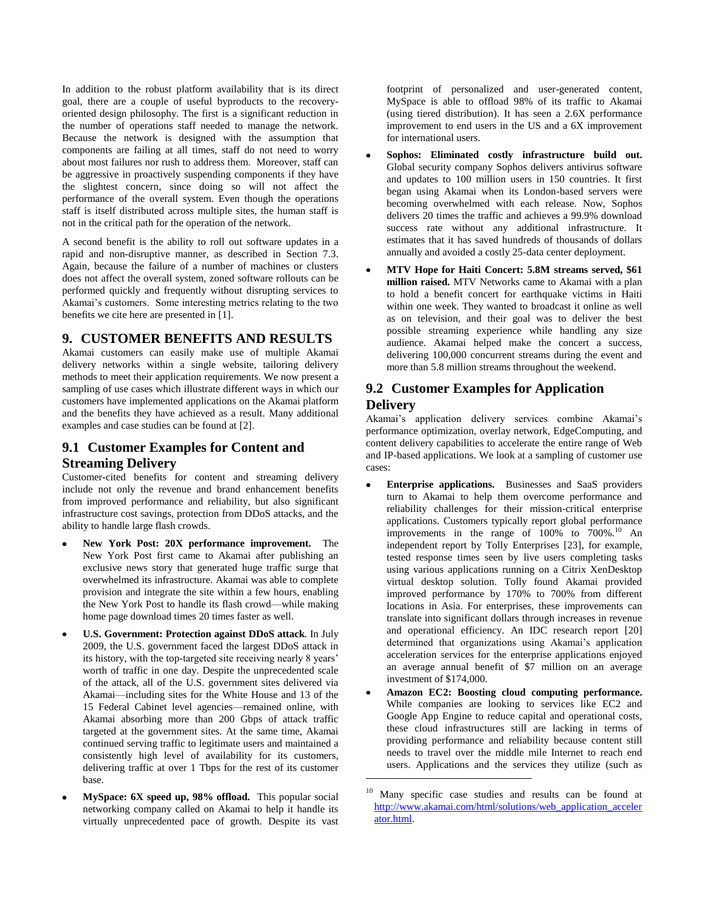In addition to the robust platform availability that is its direct goal, there are a couple of useful byproducts to the recoveryoriented design philosophy. The first is a significant reduction in the number of operations staff needed to manage the network. Because the network is designed with the assumption that components are failing at all times, staff do not need to worry about most failures nor rush to address them. Moreover, staff can be aggressive in proactively suspending components if they have the slightest concern, since doing so will not affect the performance of the overall system. Even though the operations staff is itself distributed across multiple sites, the human staff is not in the critical path for the operation of the network.

A second benefit is the ability to roll out software updates in a rapid and non-disruptive manner, as described in Section [7.3.](#page-12-0) Again, because the failure of a number of machines or clusters does not affect the overall system, zoned software rollouts can be performed quickly and frequently without disrupting services to Akamai's customers. Some interesting metrics relating to the two benefits we cite here are presented i[n \[1\].](#page-16-5)

### **9. CUSTOMER BENEFITS AND RESULTS**

Akamai customers can easily make use of multiple Akamai delivery networks within a single website, tailoring delivery methods to meet their application requirements. We now present a sampling of use cases which illustrate different ways in which our customers have implemented applications on the Akamai platform and the benefits they have achieved as a result. Many additional examples and case studies can be found at [\[2\].](#page-16-16)

# **9.1 Customer Examples for Content and Streaming Delivery**

Customer-cited benefits for content and streaming delivery include not only the revenue and brand enhancement benefits from improved performance and reliability, but also significant infrastructure cost savings, protection from DDoS attacks, and the ability to handle large flash crowds.

- **New York Post: 20X performance improvement.** The New York Post first came to Akamai after publishing an exclusive news story that generated huge traffic surge that overwhelmed its infrastructure. Akamai was able to complete provision and integrate the site within a few hours, enabling the New York Post to handle its flash crowd—while making home page download times 20 times faster as well.
- **U.S. Government: Protection against DDoS attack**. In July 2009, the U.S. government faced the largest DDoS attack in its history, with the top-targeted site receiving nearly 8 years' worth of traffic in one day. Despite the unprecedented scale of the attack, all of the U.S. government sites delivered via Akamai—including sites for the White House and 13 of the 15 Federal Cabinet level agencies—remained online, with Akamai absorbing more than 200 Gbps of attack traffic targeted at the government sites. At the same time, Akamai continued serving traffic to legitimate users and maintained a consistently high level of availability for its customers, delivering traffic at over 1 Tbps for the rest of its customer base.
- **MySpace: 6X speed up, 98% offload.** This popular social networking company called on Akamai to help it handle its virtually unprecedented pace of growth. Despite its vast

footprint of personalized and user-generated content, MySpace is able to offload 98% of its traffic to Akamai (using tiered distribution). It has seen a 2.6X performance improvement to end users in the US and a 6X improvement for international users.

- **Sophos: Eliminated costly infrastructure build out.**  Global security company Sophos delivers antivirus software and updates to 100 million users in 150 countries. It first began using Akamai when its London-based servers were becoming overwhelmed with each release. Now, Sophos delivers 20 times the traffic and achieves a 99.9% download success rate without any additional infrastructure. It estimates that it has saved hundreds of thousands of dollars annually and avoided a costly 25-data center deployment.
- **MTV Hope for Haiti Concert: 5.8M streams served, \$61 million raised.** MTV Networks came to Akamai with a plan to hold a benefit concert for earthquake victims in Haiti within one week. They wanted to broadcast it online as well as on television, and their goal was to deliver the best possible streaming experience while handling any size audience. Akamai helped make the concert a success, delivering 100,000 concurrent streams during the event and more than 5.8 million streams throughout the weekend.

# <span id="page-15-0"></span>**9.2 Customer Examples for Application Delivery**

Akamai's application delivery services combine Akamai's performance optimization, overlay network, EdgeComputing, and content delivery capabilities to accelerate the entire range of Web and IP-based applications. We look at a sampling of customer use cases:

- **Enterprise applications.** Businesses and SaaS providers turn to Akamai to help them overcome performance and reliability challenges for their mission-critical enterprise applications. Customers typically report global performance improvements in the range of 100% to 700%.<sup>10</sup> An independent report by Tolly Enterprises [\[23\],](#page-17-7) for example, tested response times seen by live users completing tasks using various applications running on a Citrix XenDesktop virtual desktop solution. Tolly found Akamai provided improved performance by 170% to 700% from different locations in Asia. For enterprises, these improvements can translate into significant dollars through increases in revenue and operational efficiency. An IDC research report [\[20\]](#page-17-1) determined that organizations using Akamai's application acceleration services for the enterprise applications enjoyed an average annual benefit of \$7 million on an average investment of \$174,000.
- **Amazon EC2: Boosting cloud computing performance.**  While companies are looking to services like EC2 and Google App Engine to reduce capital and operational costs, these cloud infrastructures still are lacking in terms of providing performance and reliability because content still needs to travel over the middle mile Internet to reach end users. Applications and the services they utilize (such as

 $\overline{a}$ 

<sup>10</sup> Many specific case studies and results can be found at [http://www.akamai.com/html/solutions/web\\_application\\_acceler](http://www.akamai.com/html/solutions/web_application_accelerator.html) [ator.html.](http://www.akamai.com/html/solutions/web_application_accelerator.html)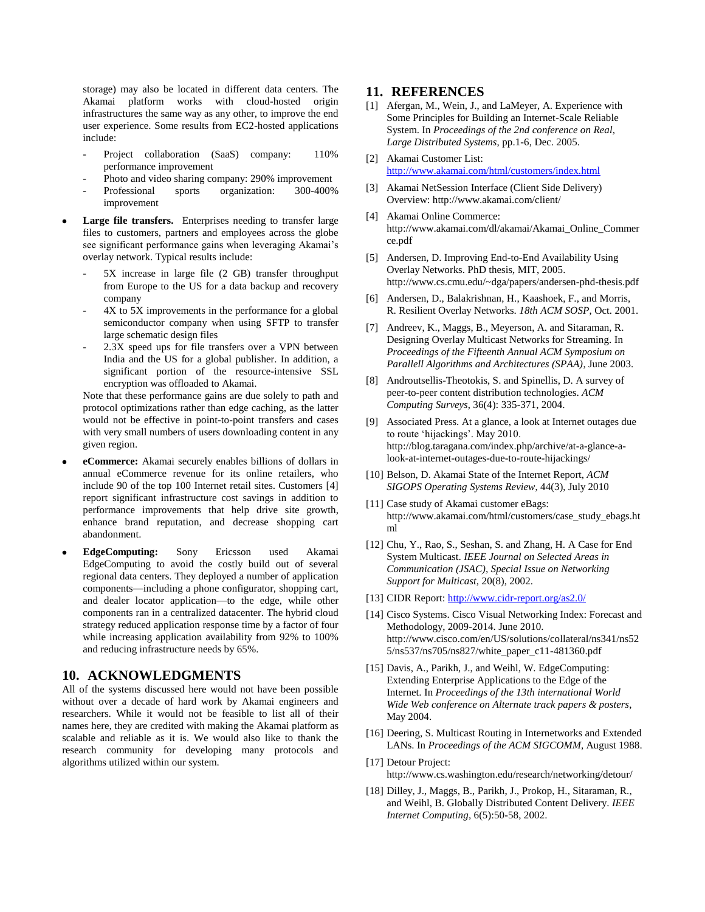storage) may also be located in different data centers. The Akamai platform works with cloud-hosted origin infrastructures the same way as any other, to improve the end user experience. Some results from EC2-hosted applications include:

- Project collaboration (SaaS) company: 110% performance improvement
- Photo and video sharing company: 290% improvement
- Professional sports organization: 300-400% improvement
- **Large file transfers.** Enterprises needing to transfer large files to customers, partners and employees across the globe see significant performance gains when leveraging Akamai's overlay network. Typical results include:
	- 5X increase in large file (2 GB) transfer throughput from Europe to the US for a data backup and recovery company
	- 4X to 5X improvements in the performance for a global semiconductor company when using SFTP to transfer large schematic design files
	- 2.3X speed ups for file transfers over a VPN between India and the US for a global publisher. In addition, a significant portion of the resource-intensive SSL encryption was offloaded to Akamai.

Note that these performance gains are due solely to path and protocol optimizations rather than edge caching, as the latter would not be effective in point-to-point transfers and cases with very small numbers of users downloading content in any given region.

- **eCommerce:** Akamai securely enables billions of dollars in annual eCommerce revenue for its online retailers, who include 90 of the top 100 Internet retail sites. Customers [\[4\]](#page-16-17) report significant infrastructure cost savings in addition to performance improvements that help drive site growth, enhance brand reputation, and decrease shopping cart abandonment.
- **EdgeComputing:** Sony Ericsson used Akamai EdgeComputing to avoid the costly build out of several regional data centers. They deployed a number of application components—including a phone configurator, shopping cart, and dealer locator application—to the edge, while other components ran in a centralized datacenter. The hybrid cloud strategy reduced application response time by a factor of four while increasing application availability from 92% to 100% and reducing infrastructure needs by 65%.

### **10. ACKNOWLEDGMENTS**

All of the systems discussed here would not have been possible without over a decade of hard work by Akamai engineers and researchers. While it would not be feasible to list all of their names here, they are credited with making the Akamai platform as scalable and reliable as it is. We would also like to thank the research community for developing many protocols and algorithms utilized within our system.

#### **11. REFERENCES**

- <span id="page-16-5"></span>[1] Afergan, M., Wein, J., and LaMeyer, A. Experience with Some Principles for Building an Internet-Scale Reliable System. In *Proceedings of the 2nd conference on Real, Large Distributed Systems*, pp.1-6, Dec. 2005.
- <span id="page-16-16"></span>[2] Akamai Customer List: <http://www.akamai.com/html/customers/index.html>
- <span id="page-16-15"></span>[3] Akamai NetSession Interface (Client Side Delivery) Overview: http://www.akamai.com/client/
- <span id="page-16-17"></span>[4] Akamai Online Commerce: [http://www.akamai.com/dl/akamai/Akamai\\_Online\\_Commer](http://www.akamai.com/dl/akamai/Akamai_Online_Commerce.pdf) [ce.pdf](http://www.akamai.com/dl/akamai/Akamai_Online_Commerce.pdf)
- <span id="page-16-12"></span>[5] Andersen, D. Improving End-to-End Availability Using Overlay Networks. PhD thesis, MIT, 2005. <http://www.cs.cmu.edu/~dga/papers/andersen-phd-thesis.pdf>
- <span id="page-16-4"></span>[6] Andersen, D., Balakrishnan, H., Kaashoek, F., and Morris, R. Resilient Overlay Networks. *18th ACM SOSP*, Oct. 2001.
- <span id="page-16-11"></span>[7] Andreev, K., Maggs, B., Meyerson, A. and Sitaraman, R. Designing Overlay Multicast Networks for Streaming. In *Proceedings of the Fifteenth Annual ACM Symposium on Parallell Algorithms and Architectures (SPAA)*, June 2003.
- <span id="page-16-6"></span>[8] Androutsellis-Theotokis, S. and Spinellis, D. A survey of peer-to-peer content distribution technologies. *ACM Computing Surveys*, 36(4): 335-371, 2004.
- <span id="page-16-3"></span>[9] Associated Press. At a glance, a look at Internet outages due to route 'hijackings'. May 2010. http://blog.taragana.com/index.php/archive/at-a-glance-alook-at-internet-outages-due-to-route-hijackings/
- <span id="page-16-8"></span>[10] Belson, D. Akamai State of the Internet Report, *ACM SIGOPS Operating Systems Review*, 44(3), July 2010
- <span id="page-16-1"></span>[11] Case study of Akamai customer eBags: http://www.akamai.com/html/customers/case\_study\_ebags.ht ml
- <span id="page-16-10"></span>[12] Chu, Y., Rao, S., Seshan, S. and Zhang, H. A Case for End System Multicast. *IEEE Journal on Selected Areas in Communication (JSAC), Special Issue on Networking Support for Multicast*, 20(8), 2002.
- <span id="page-16-2"></span>[13] CIDR Report:<http://www.cidr-report.org/as2.0/>
- <span id="page-16-7"></span>[14] Cisco Systems. Cisco Visual Networking Index: Forecast and Methodology, 2009-2014. June 2010. http://www.cisco.com/en/US/solutions/collateral/ns341/ns52 5/ns537/ns705/ns827/white\_paper\_c11-481360.pdf
- <span id="page-16-14"></span>[15] Davis, A., Parikh, J., and Weihl, W. EdgeComputing: Extending Enterprise Applications to the Edge of the Internet. In *Proceedings of the 13th international World Wide Web conference on Alternate track papers & posters*, May 2004.
- <span id="page-16-9"></span>[16] Deering, S. Multicast Routing in Internetworks and Extended LANs. In *Proceedings of the ACM SIGCOMM*, August 1988.
- <span id="page-16-13"></span>[17] Detour Project: <http://www.cs.washington.edu/research/networking/detour/>
- <span id="page-16-0"></span>[18] Dilley, J., Maggs, B., Parikh, J., Prokop, H., Sitaraman, R., and Weihl, B. Globally Distributed Content Delivery. *IEEE Internet Computing*, 6(5):50-58, 2002.